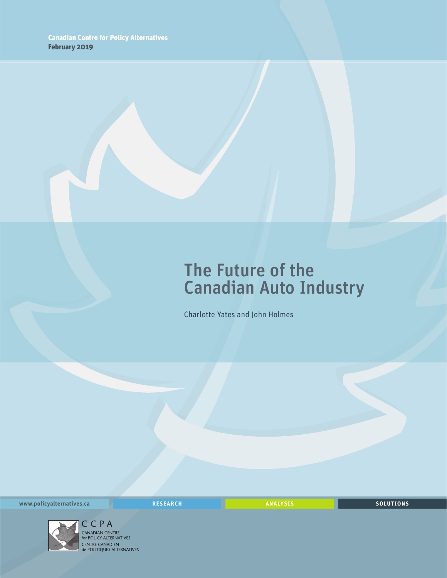## The Future of the Canadian Auto Industry

Charlotte Yates and John Holmes

**www.policyalternatives.ca** <mark>RESEARCH</mark> ANALYSIS SOLUTIONS



CENTRE CANADIEN<br> **CENTRE CANADIEN<br>
de POLITIQUES ALTERNATIVES**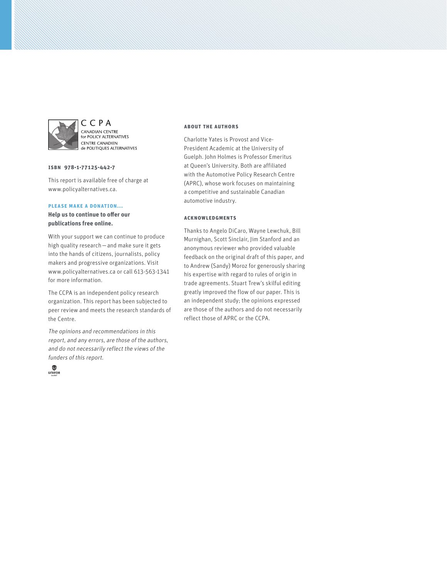

C C P A **CANADIAN CENTRE<br>for POLICY ALTERNATIVES CENTRE CANADIEN CENTRE CANADIEN** 

#### **ISBN 978-1-77125-442-7**

This report is available free of charge at www.policyalternatives.ca.

#### **Please make a donation...**

**Help us to continue to offer our publications free online.**

With your support we can continue to produce high quality research—and make sure it gets into the hands of citizens, journalists, policy makers and progressive organizations. Visit www.policyalternatives.ca or call 613-563-1341 for more information.

The CCPA is an independent policy research organization. This report has been subjected to peer review and meets the research standards of the Centre.

The opinions and recommendations in this report, and any errors, are those of the authors, and do not necessarily reflect the views of the funders of this report.



#### **About the authors**

Charlotte Yates is Provost and Vice-President Academic at the University of Guelph. John Holmes is Professor Emeritus at Queen's University. Both are affiliated with the Automotive Policy Research Centre (APRC), whose work focuses on maintaining a competitive and sustainable Canadian automotive industry.

#### **Acknowledgments**

Thanks to Angelo DiCaro, Wayne Lewchuk, Bill Murnighan, Scott Sinclair, Jim Stanford and an anonymous reviewer who provided valuable feedback on the original draft of this paper, and to Andrew (Sandy) Moroz for generously sharing his expertise with regard to rules of origin in trade agreements. Stuart Trew's skilful editing greatly improved the flow of our paper. This is an independent study; the opinions expressed are those of the authors and do not necessarily reflect those of APRC or the CCPA.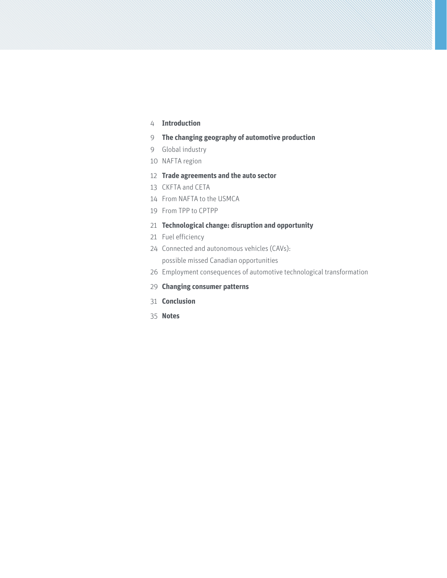#### **[Introduction](#page-3-0)**

- **[The changing geography of automotive production](#page-8-0)**
- [Global industry](#page-8-0)
- [NAFTA region](#page-9-0)
- **[Trade agreements and the auto sector](#page-11-0)**
- [CKFTA and CETA](#page-12-0)
- [From NAFTA to the USMCA](#page-13-0)
- [From TPP to CPTPP](#page-18-0)

#### **[Technological change: disruption and opportunity](#page-20-0)**

- [Fuel efficiency](#page-20-0)
- [Connected and autonomous vehicles \(CAVs\):](#page-23-0)  [possible missed Canadian opportunities](#page-23-0)
- [Employment consequences of automotive technological transformation](#page-25-0)
- **[Changing consumer patterns](#page-28-0)**
- **[Conclusion](#page-30-0)**
- **[Notes](#page-34-0)**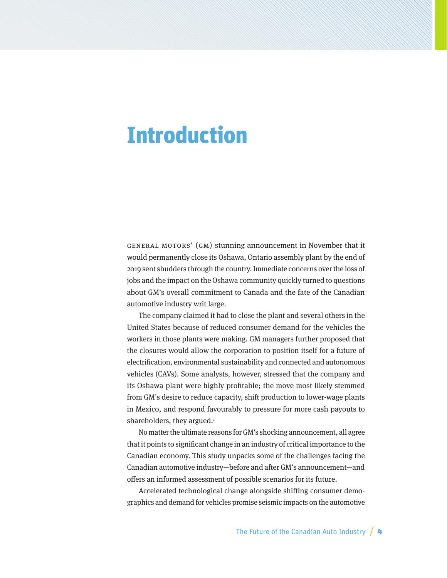## <span id="page-3-0"></span>**Introduction**

General Motors' (GM) stunning announcement in November that it would permanently close its Oshawa, Ontario assembly plant by the end of 2019 sent shudders through the country. Immediate concerns over the loss of jobs and the impact on the Oshawa community quickly turned to questions about GM's overall commitment to Canada and the fate of the Canadian automotive industry writ large.

The company claimed it had to close the plant and several others in the United States because of reduced consumer demand for the vehicles the workers in those plants were making. GM managers further proposed that the closures would allow the corporation to position itself for a future of electrification, environmental sustainability and connected and autonomous vehicles (CAVs). Some analysts, however, stressed that the company and its Oshawa plant were highly profitable; the move most likely stemmed from GM's desire to reduce capacity, shift production to lower-wage plants in Mexico, and respond favourably to pressure for more cash payouts to shareholders, they argued.<sup>[1](#page-34-0)</sup>

No matter the ultimate reasons for GM's shocking announcement, all agree that it points to significant change in an industry of critical importance to the Canadian economy. This study unpacks some of the challenges facing the Canadian automotive industry—before and after GM's announcement—and offers an informed assessment of possible scenarios for its future.

Accelerated technological change alongside shifting consumer demographics and demand for vehicles promise seismic impacts on the automotive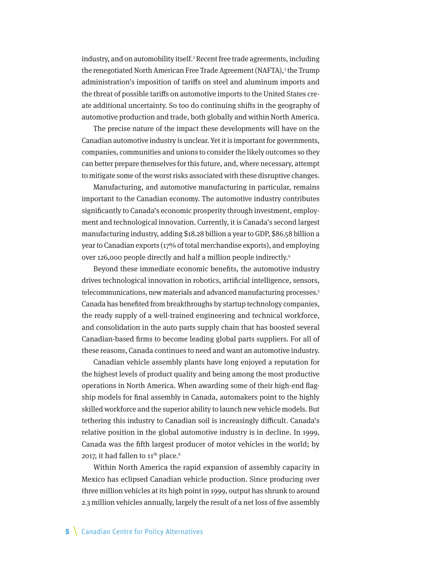<span id="page-4-0"></span>industry, and on automobility itself[.2](#page-34-0) Recent free trade agreements, including the renegotiated North American Free Trade Agreement (NAFTA),<sup>3</sup> the Trump administration's imposition of tariffs on steel and aluminum imports and the threat of possible tariffs on automotive imports to the United States create additional uncertainty. So too do continuing shifts in the geography of automotive production and trade, both globally and within North America.

The precise nature of the impact these developments will have on the Canadian automotive industry is unclear. Yet it is important for governments, companies, communities and unions to consider the likely outcomes so they can better prepare themselves for this future, and, where necessary, attempt to mitigate some of the worst risks associated with these disruptive changes.

Manufacturing, and automotive manufacturing in particular, remains important to the Canadian economy. The automotive industry contributes significantly to Canada's economic prosperity through investment, employment and technological innovation. Currently, it is Canada's second largest manufacturing industry, adding \$18.28 billion a year to GDP, \$86.58 billion a year to Canadian exports (17% of total merchandise exports), and employing over 126,000 people directly and half a million people indirectly.[4](#page-34-0)

Beyond these immediate economic benefits, the automotive industry drives technological innovation in robotics, artificial intelligence, sensors, telecommunications, new materials and advanced manufacturing processes[.5](#page-34-0) Canada has benefited from breakthroughs by startup technology companies, the ready supply of a well-trained engineering and technical workforce, and consolidation in the auto parts supply chain that has boosted several Canadian-based firms to become leading global parts suppliers. For all of these reasons, Canada continues to need and want an automotive industry.

Canadian vehicle assembly plants have long enjoyed a reputation for the highest levels of product quality and being among the most productive operations in North America. When awarding some of their high-end flagship models for final assembly in Canada, automakers point to the highly skilled workforce and the superior ability to launch new vehicle models. But tethering this industry to Canadian soil is increasingly difficult. Canada's relative position in the global automotive industry is in decline. In 1999, Canada was the fifth largest producer of motor vehicles in the world; by 2017, it had fallen to  $11^{th}$  place.<sup>6</sup>

Within North America the rapid expansion of assembly capacity in Mexico has eclipsed Canadian vehicle production. Since producing over three million vehicles at its high point in 1999, output has shrunk to around 2.3 million vehicles annually, largely the result of a net loss of five assembly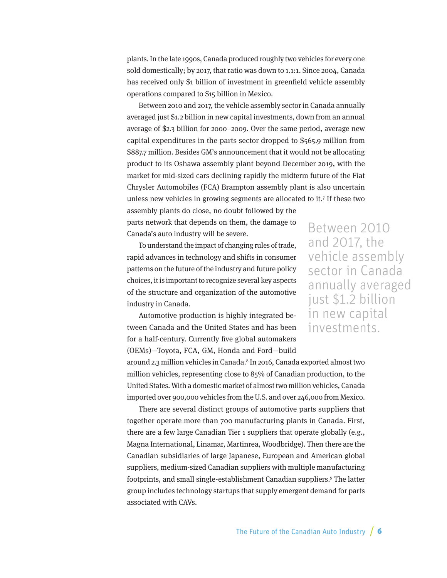<span id="page-5-0"></span>plants. In the late 1990s, Canada produced roughly two vehicles for every one sold domestically; by 2017, that ratio was down to 1.1:1. Since 2004, Canada has received only \$1 billion of investment in greenfield vehicle assembly operations compared to \$15 billion in Mexico.

Between 2010 and 2017, the vehicle assembly sector in Canada annually averaged just \$1.2 billion in new capital investments, down from an annual average of \$2.3 billion for 2000–2009. Over the same period, average new capital expenditures in the parts sector dropped to \$565.9 million from \$887.7 million. Besides GM's announcement that it would not be allocating product to its Oshawa assembly plant beyond December 2019, with the market for mid-sized cars declining rapidly the midterm future of the Fiat Chrysler Automobiles (FCA) Brampton assembly plant is also uncertain unless new vehicles in growing segments are allocated to it[.7](#page-34-0) If these two assembly plants do close, no doubt followed by the

parts network that depends on them, the damage to Canada's auto industry will be severe.

To understand the impact of changing rules of trade, rapid advances in technology and shifts in consumer patterns on the future of the industry and future policy choices, it is important to recognize several key aspects of the structure and organization of the automotive industry in Canada.

Automotive production is highly integrated between Canada and the United States and has been for a half-century. Currently five global automakers (OEMs)—Toyota, FCA, GM, Honda and Ford—build

Between 2010 and 2017, the vehicle assembly sector in Canada annually averaged just \$1.2 billion in new capital investments.

around 2.3 million vehicles in Canada.<sup>8</sup> In 2016, Canada exported almost two million vehicles, representing close to 85% of Canadian production, to the United States. With a domestic market of almost two million vehicles, Canada imported over 900,000 vehicles from the U.S. and over 246,000 from Mexico.

There are several distinct groups of automotive parts suppliers that together operate more than 700 manufacturing plants in Canada. First, there are a few large Canadian Tier 1 suppliers that operate globally (e.g., Magna International, Linamar, Martinrea, Woodbridge). Then there are the Canadian subsidiaries of large Japanese, European and American global suppliers, medium-sized Canadian suppliers with multiple manufacturing footprints, and small single-establishment Canadian suppliers[.9](#page-34-0) The latter group includes technology startups that supply emergent demand for parts associated with CAVs.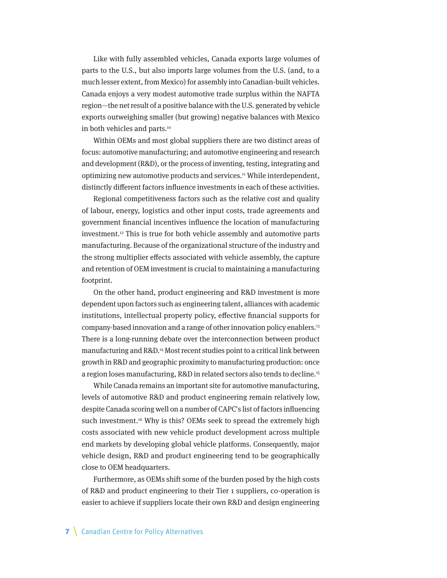<span id="page-6-0"></span>Like with fully assembled vehicles, Canada exports large volumes of parts to the U.S., but also imports large volumes from the U.S. (and, to a much lesser extent, from Mexico) for assembly into Canadian-built vehicles. Canada enjoys a very modest automotive trade surplus within the NAFTA region—the net result of a positive balance with the U.S. generated by vehicle exports outweighing smaller (but growing) negative balances with Mexico in both vehicles and parts.<sup>[10](#page-35-0)</sup>

Within OEMs and most global suppliers there are two distinct areas of focus: automotive manufacturing; and automotive engineering and research and development (R&D), or the process of inventing, testing, integrating and optimizing new automotive products and services.[11](#page-35-0) While interdependent, distinctly different factors influence investments in each of these activities.

Regional competitiveness factors such as the relative cost and quality of labour, energy, logistics and other input costs, trade agreements and government financial incentives influence the location of manufacturing investment[.12](#page-35-0) This is true for both vehicle assembly and automotive parts manufacturing. Because of the organizational structure of the industry and the strong multiplier effects associated with vehicle assembly, the capture and retention of OEM investment is crucial to maintaining a manufacturing footprint.

On the other hand, product engineering and R&D investment is more dependent upon factors such as engineering talent, alliances with academic institutions, intellectual property policy, effective financial supports for company-based innovation and a range of other innovation policy enablers[.13](#page-35-0) There is a long-running debate over the interconnection between product manufacturing and R&D.[14](#page-35-0) Most recent studies point to a critical link between growth in R&D and geographic proximity to manufacturing production: once a region loses manufacturing, R&D in related sectors also tends to decline.[15](#page-35-0)

While Canada remains an important site for automotive manufacturing, levels of automotive R&D and product engineering remain relatively low, despite Canada scoring well on a number of CAPC's list of factors influencing such investment.<sup>16</sup> Why is this? OEMs seek to spread the extremely high costs associated with new vehicle product development across multiple end markets by developing global vehicle platforms. Consequently, major vehicle design, R&D and product engineering tend to be geographically close to OEM headquarters.

Furthermore, as OEMs shift some of the burden posed by the high costs of R&D and product engineering to their Tier 1 suppliers, co-operation is easier to achieve if suppliers locate their own R&D and design engineering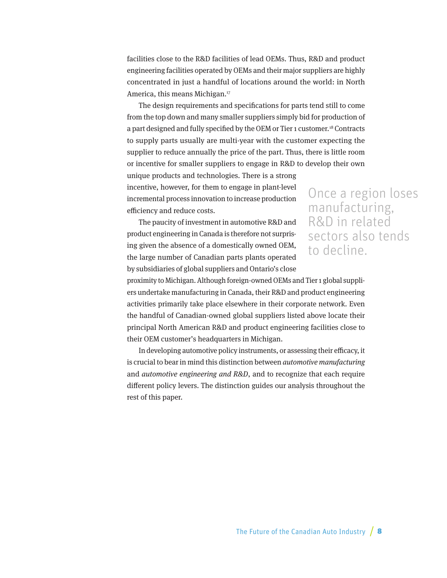<span id="page-7-0"></span>facilities close to the R&D facilities of lead OEMs. Thus, R&D and product engineering facilities operated by OEMs and their major suppliers are highly concentrated in just a handful of locations around the world: in North America, this means Michigan[.17](#page-35-0)

The design requirements and specifications for parts tend still to come from the top down and many smaller suppliers simply bid for production of a part designed and fully specified by the OEM or Tier 1 customer[.18](#page-35-0) Contracts to supply parts usually are multi-year with the customer expecting the supplier to reduce annually the price of the part. Thus, there is little room or incentive for smaller suppliers to engage in R&D to develop their own unique products and technologies. There is a strong

incentive, however, for them to engage in plant-level incremental process innovation to increase production efficiency and reduce costs.

The paucity of investment in automotive R&D and product engineering in Canada is therefore not surprising given the absence of a domestically owned OEM, the large number of Canadian parts plants operated by subsidiaries of global suppliers and Ontario's close

### Once a region loses manufacturing, R&D in related sectors also tends to decline.

proximity to Michigan. Although foreign-owned OEMs and Tier 1 global suppliers undertake manufacturing in Canada, their R&D and product engineering activities primarily take place elsewhere in their corporate network. Even the handful of Canadian-owned global suppliers listed above locate their principal North American R&D and product engineering facilities close to their OEM customer's headquarters in Michigan.

In developing automotive policy instruments, or assessing their efficacy, it is crucial to bear in mind this distinction between automotive manufacturing and automotive engineering and R&D, and to recognize that each require different policy levers. The distinction guides our analysis throughout the rest of this paper.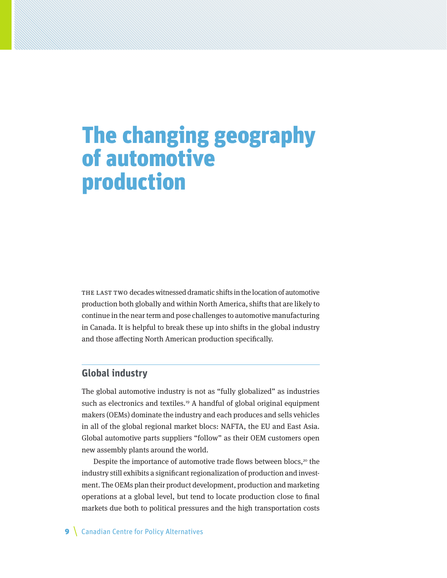# <span id="page-8-0"></span>The changing geography of automotive production

THE LAST TWO decades witnessed dramatic shifts in the location of automotive production both globally and within North America, shifts that are likely to continue in the near term and pose challenges to automotive manufacturing in Canada. It is helpful to break these up into shifts in the global industry and those affecting North American production specifically.

### **Global industry**

The global automotive industry is not as "fully globalized" as industries such as electronics and textiles.<sup>19</sup> A handful of global original equipment makers (OEMs) dominate the industry and each produces and sells vehicles in all of the global regional market blocs: NAFTA, the EU and East Asia. Global automotive parts suppliers "follow" as their OEM customers open new assembly plants around the world.

Despite the importance of automotive trade flows between blocs, $20$  the industry still exhibits a significant regionalization of production and investment. The OEMs plan their product development, production and marketing operations at a global level, but tend to locate production close to final markets due both to political pressures and the high transportation costs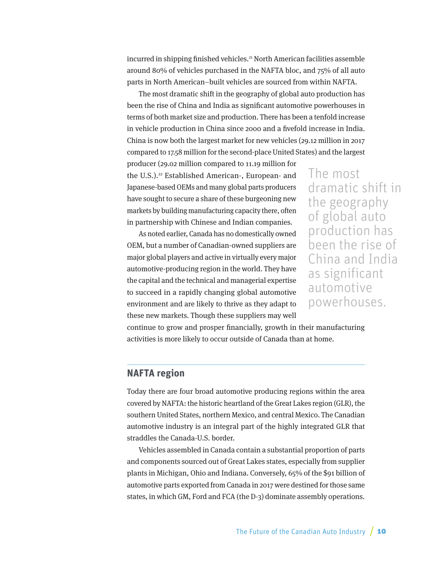<span id="page-9-0"></span>incurred in shipping finished vehicles.<sup>[21](#page-35-0)</sup> North American facilities assemble around 80% of vehicles purchased in the NAFTA bloc, and 75% of all auto parts in North American–built vehicles are sourced from within NAFTA.

The most dramatic shift in the geography of global auto production has been the rise of China and India as significant automotive powerhouses in terms of both market size and production. There has been a tenfold increase in vehicle production in China since 2000 and a fivefold increase in India. China is now both the largest market for new vehicles (29.12 million in 2017 compared to 17.58 million for the second-place United States) and the largest

producer (29.02 million compared to 11.19 million for the U.S.).<sup>22</sup> Established American-, European- and Japanese-based OEMs and many global parts producers have sought to secure a share of these burgeoning new markets by building manufacturing capacity there, often in partnership with Chinese and Indian companies.

As noted earlier, Canada has no domestically owned OEM, but a number of Canadian-owned suppliers are major global players and active in virtually every major automotive-producing region in the world. They have the capital and the technical and managerial expertise to succeed in a rapidly changing global automotive environment and are likely to thrive as they adapt to these new markets. Though these suppliers may well

The most dramatic shift in the geography of global auto production has been the rise of China and India as significant automotive powerhouses.

continue to grow and prosper financially, growth in their manufacturing activities is more likely to occur outside of Canada than at home.

### **NAFTA region**

Today there are four broad automotive producing regions within the area covered by NAFTA: the historic heartland of the Great Lakes region (GLR), the southern United States, northern Mexico, and central Mexico. The Canadian automotive industry is an integral part of the highly integrated GLR that straddles the Canada-U.S. border.

Vehicles assembled in Canada contain a substantial proportion of parts and components sourced out of Great Lakes states, especially from supplier plants in Michigan, Ohio and Indiana. Conversely, 65% of the \$91 billion of automotive parts exported from Canada in 2017 were destined for those same states, in which GM, Ford and FCA (the D-3) dominate assembly operations.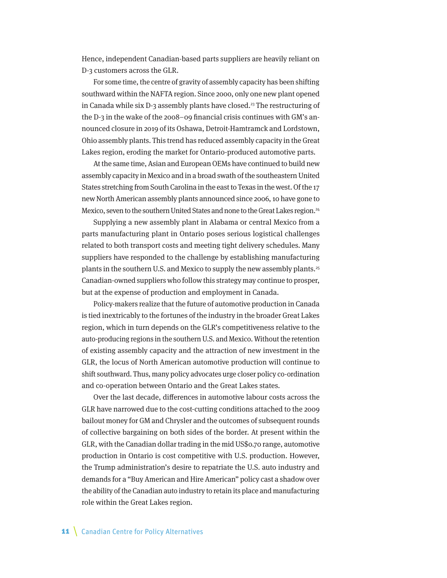<span id="page-10-0"></span>Hence, independent Canadian-based parts suppliers are heavily reliant on D-3 customers across the GLR.

For some time, the centre of gravity of assembly capacity has been shifting southward within the NAFTA region. Since 2000, only one new plant opened in Canada while six  $D-3$  assembly plants have closed.<sup>23</sup> The restructuring of the D-3 in the wake of the 2008–09 financial crisis continues with GM's announced closure in 2019 of its Oshawa, Detroit-Hamtramck and Lordstown, Ohio assembly plants. This trend has reduced assembly capacity in the Great Lakes region, eroding the market for Ontario-produced automotive parts.

At the same time, Asian and European OEMs have continued to build new assembly capacity in Mexico and in a broad swath of the southeastern United States stretching from South Carolina in the east to Texas in the west. Of the 17 new North American assembly plants announced since 2006, 10 have gone to Mexico, seven to the southern United States and none to the Great Lakes region.<sup>24</sup>

Supplying a new assembly plant in Alabama or central Mexico from a parts manufacturing plant in Ontario poses serious logistical challenges related to both transport costs and meeting tight delivery schedules. Many suppliers have responded to the challenge by establishing manufacturing plants in the southern U.S. and Mexico to supply the new assembly plants.<sup>[25](#page-35-0)</sup> Canadian-owned suppliers who follow this strategy may continue to prosper, but at the expense of production and employment in Canada.

Policy-makers realize that the future of automotive production in Canada is tied inextricably to the fortunes of the industry in the broader Great Lakes region, which in turn depends on the GLR's competitiveness relative to the auto-producing regions in the southern U.S. and Mexico. Without the retention of existing assembly capacity and the attraction of new investment in the GLR, the locus of North American automotive production will continue to shift southward. Thus, many policy advocates urge closer policy co-ordination and co-operation between Ontario and the Great Lakes states.

Over the last decade, differences in automotive labour costs across the GLR have narrowed due to the cost-cutting conditions attached to the 2009 bailout money for GM and Chrysler and the outcomes of subsequent rounds of collective bargaining on both sides of the border. At present within the GLR, with the Canadian dollar trading in the mid US\$0.70 range, automotive production in Ontario is cost competitive with U.S. production. However, the Trump administration's desire to repatriate the U.S. auto industry and demands for a "Buy American and Hire American" policy cast a shadow over the ability of the Canadian auto industry to retain its place and manufacturing role within the Great Lakes region.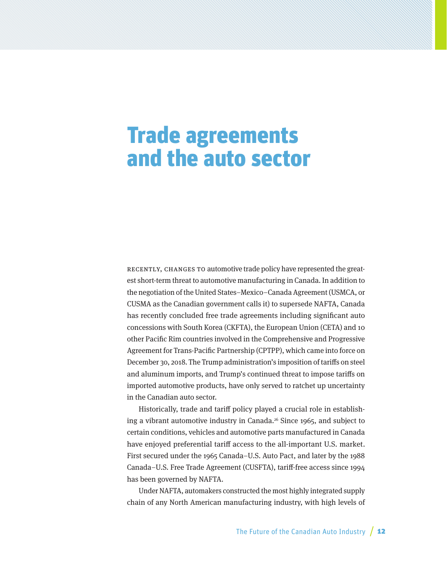## <span id="page-11-0"></span>Trade agreements and the auto sector

RECENTLY, CHANGES TO automotive trade policy have represented the greatest short-term threat to automotive manufacturing in Canada. In addition to the negotiation of the United States–Mexico–Canada Agreement (USMCA, or CUSMA as the Canadian government calls it) to supersede NAFTA, Canada has recently concluded free trade agreements including significant auto concessions with South Korea (CKFTA), the European Union (CETA) and 10 other Pacific Rim countries involved in the Comprehensive and Progressive Agreement for Trans-Pacific Partnership (CPTPP), which came into force on December 30, 2018. The Trump administration's imposition of tariffs on steel and aluminum imports, and Trump's continued threat to impose tariffs on imported automotive products, have only served to ratchet up uncertainty in the Canadian auto sector.

Historically, trade and tariff policy played a crucial role in establish-ing a vibrant automotive industry in Canada.<sup>[26](#page-36-0)</sup> Since 1965, and subject to certain conditions, vehicles and automotive parts manufactured in Canada have enjoyed preferential tariff access to the all-important U.S. market. First secured under the 1965 Canada–U.S. Auto Pact, and later by the 1988 Canada–U.S. Free Trade Agreement (CUSFTA), tariff-free access since 1994 has been governed by NAFTA.

Under NAFTA, automakers constructed the most highly integrated supply chain of any North American manufacturing industry, with high levels of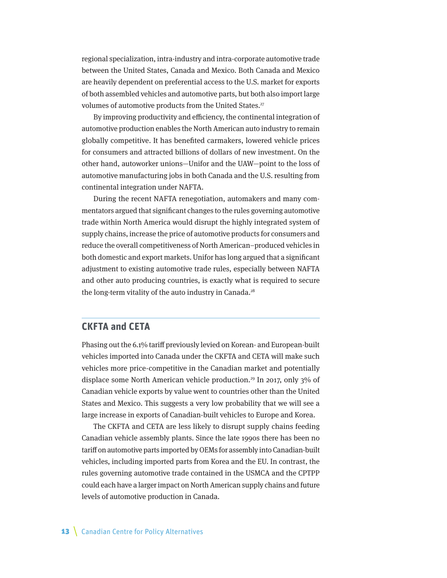<span id="page-12-0"></span>regional specialization, intra-industry and intra-corporate automotive trade between the United States, Canada and Mexico. Both Canada and Mexico are heavily dependent on preferential access to the U.S. market for exports of both assembled vehicles and automotive parts, but both also import large volumes of automotive products from the United States.<sup>[27](#page-36-0)</sup>

By improving productivity and efficiency, the continental integration of automotive production enables the North American auto industry to remain globally competitive. It has benefited carmakers, lowered vehicle prices for consumers and attracted billions of dollars of new investment. On the other hand, autoworker unions—Unifor and the UAW—point to the loss of automotive manufacturing jobs in both Canada and the U.S. resulting from continental integration under NAFTA.

During the recent NAFTA renegotiation, automakers and many commentators argued that significant changes to the rules governing automotive trade within North America would disrupt the highly integrated system of supply chains, increase the price of automotive products for consumers and reduce the overall competitiveness of North American–produced vehicles in both domestic and export markets. Unifor has long argued that a significant adjustment to existing automotive trade rules, especially between NAFTA and other auto producing countries, is exactly what is required to secure the long-term vitality of the auto industry in Canada.<sup>28</sup>

### **CKFTA and CETA**

Phasing out the 6.1% tariff previously levied on Korean- and European-built vehicles imported into Canada under the CKFTA and CETA will make such vehicles more price-competitive in the Canadian market and potentially displace some North American vehicle production[.29](#page-36-0) In 2017, only 3% of Canadian vehicle exports by value went to countries other than the United States and Mexico. This suggests a very low probability that we will see a large increase in exports of Canadian-built vehicles to Europe and Korea.

The CKFTA and CETA are less likely to disrupt supply chains feeding Canadian vehicle assembly plants. Since the late 1990s there has been no tariff on automotive parts imported by OEMs for assembly into Canadian-built vehicles, including imported parts from Korea and the EU. In contrast, the rules governing automotive trade contained in the USMCA and the CPTPP could each have a larger impact on North American supply chains and future levels of automotive production in Canada.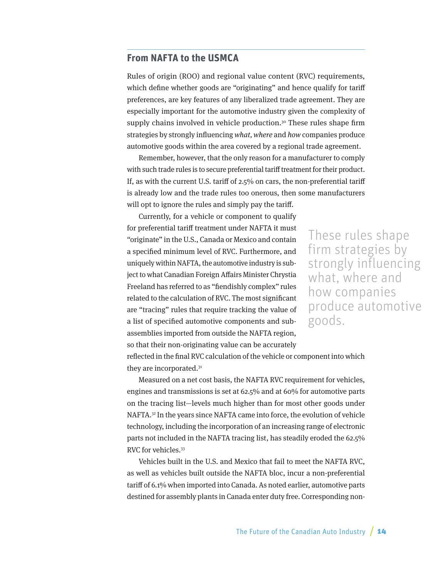### <span id="page-13-0"></span>**From NAFTA to the USMCA**

Rules of origin (ROO) and regional value content (RVC) requirements, which define whether goods are "originating" and hence qualify for tariff preferences, are key features of any liberalized trade agreement. They are especially important for the automotive industry given the complexity of supply chains involved in vehicle production.<sup>[30](#page-36-0)</sup> These rules shape firm strategies by strongly influencing what, where and how companies produce automotive goods within the area covered by a regional trade agreement.

Remember, however, that the only reason for a manufacturer to comply with such trade rules is to secure preferential tariff treatment for their product. If, as with the current U.S. tariff of 2.5% on cars, the non-preferential tariff is already low and the trade rules too onerous, then some manufacturers will opt to ignore the rules and simply pay the tariff.

Currently, for a vehicle or component to qualify for preferential tariff treatment under NAFTA it must "originate" in the U.S., Canada or Mexico and contain a specified minimum level of RVC. Furthermore, and uniquely within NAFTA, the automotive industry is subject to what Canadian Foreign Affairs Minister Chrystia Freeland has referred to as "fiendishly complex" rules related to the calculation of RVC. The most significant are "tracing" rules that require tracking the value of a list of specified automotive components and subassemblies imported from outside the NAFTA region, so that their non-originating value can be accurately

These rules shape firm strategies by strongly influencing what, where and how companies produce automotive goods.

reflected in the final RVC calculation of the vehicle or component into which they are incorporated.[31](#page-36-0)

Measured on a net cost basis, the NAFTA RVC requirement for vehicles, engines and transmissions is set at 62.5% and at 60% for automotive parts on the tracing list—levels much higher than for most other goods under NAFTA.[32](#page-36-0) In the years since NAFTA came into force, the evolution of vehicle technology, including the incorporation of an increasing range of electronic parts not included in the NAFTA tracing list, has steadily eroded the 62.5% RVC for vehicles.<sup>[33](#page-36-0)</sup>

Vehicles built in the U.S. and Mexico that fail to meet the NAFTA RVC, as well as vehicles built outside the NAFTA bloc, incur a non-preferential tariff of 6.1% when imported into Canada. As noted earlier, automotive parts destined for assembly plants in Canada enter duty free. Corresponding non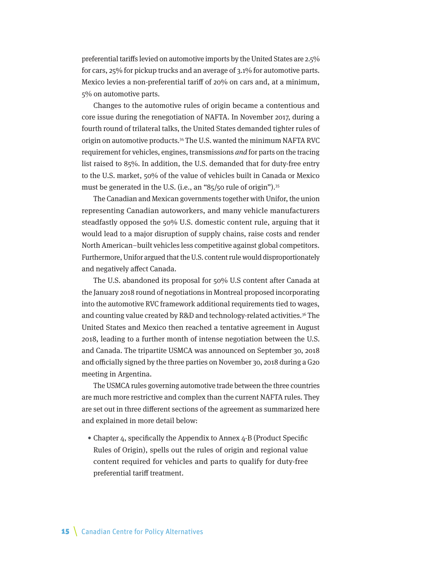<span id="page-14-0"></span>preferential tariffs levied on automotive imports by the United States are 2.5% for cars, 25% for pickup trucks and an average of 3.1% for automotive parts. Mexico levies a non-preferential tariff of 20% on cars and, at a minimum, 5% on automotive parts.

Changes to the automotive rules of origin became a contentious and core issue during the renegotiation of NAFTA. In November 2017, during a fourth round of trilateral talks, the United States demanded tighter rules of origin on automotive products[.34](#page-36-0) The U.S. wanted the minimum NAFTA RVC requirement for vehicles, engines, transmissions and for parts on the tracing list raised to 85%. In addition, the U.S. demanded that for duty-free entry to the U.S. market, 50% of the value of vehicles built in Canada or Mexico must be generated in the U.S. (i.e., an "85/50 rule of origin").<sup>35</sup>

The Canadian and Mexican governments together with Unifor, the union representing Canadian autoworkers, and many vehicle manufacturers steadfastly opposed the 50% U.S. domestic content rule, arguing that it would lead to a major disruption of supply chains, raise costs and render North American–built vehicles less competitive against global competitors. Furthermore, Unifor argued that the U.S. content rule would disproportionately and negatively affect Canada.

The U.S. abandoned its proposal for 50% U.S content after Canada at the January 2018 round of negotiations in Montreal proposed incorporating into the automotive RVC framework additional requirements tied to wages, and counting value created by R&D and technology-related activities.<sup>36</sup> The United States and Mexico then reached a tentative agreement in August 2018, leading to a further month of intense negotiation between the U.S. and Canada. The tripartite USMCA was announced on September 30, 2018 and officially signed by the three parties on November 30, 2018 during a G20 meeting in Argentina.

The USMCA rules governing automotive trade between the three countries are much more restrictive and complex than the current NAFTA rules. They are set out in three different sections of the agreement as summarized here and explained in more detail below:

• Chapter 4, specifically the Appendix to Annex 4-B (Product Specific Rules of Origin), spells out the rules of origin and regional value content required for vehicles and parts to qualify for duty-free preferential tariff treatment.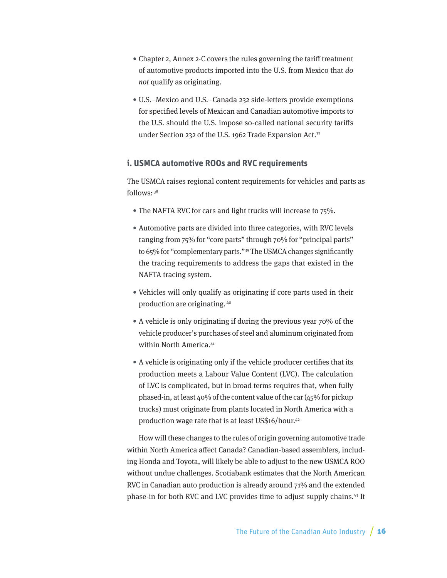- <span id="page-15-0"></span>• Chapter 2, Annex 2-C covers the rules governing the tariff treatment of automotive products imported into the U.S. from Mexico that do not qualify as originating.
- U.S.–Mexico and U.S.–Canada 232 side-letters provide exemptions for specified levels of Mexican and Canadian automotive imports to the U.S. should the U.S. impose so-called national security tariffs under Section 232 of the U.S. 1962 Trade Expansion Act[.37](#page-37-0)

#### **i. USMCA automotive ROOs and RVC requirements**

The USMCA raises regional content requirements for vehicles and parts as follows: [38](#page-37-0)

- The NAFTA RVC for cars and light trucks will increase to 75%.
- Automotive parts are divided into three categories, with RVC levels ranging from 75% for "core parts" through 70% for "principal parts" to 65% for "complementary parts."[39](#page-37-0) The USMCA changes significantly the tracing requirements to address the gaps that existed in the NAFTA tracing system.
- Vehicles will only qualify as originating if core parts used in their production are originating. [40](#page-37-0)
- A vehicle is only originating if during the previous year 70% of the vehicle producer's purchases of steel and aluminum originated from within North America.<sup>[41](#page-37-0)</sup>
- A vehicle is originating only if the vehicle producer certifies that its production meets a Labour Value Content (LVC). The calculation of LVC is complicated, but in broad terms requires that, when fully phased-in, at least 40% of the content value of the car (45% for pickup trucks) must originate from plants located in North America with a production wage rate that is at least US\$16/hour.[42](#page-37-0)

How will these changes to the rules of origin governing automotive trade within North America affect Canada? Canadian-based assemblers, including Honda and Toyota, will likely be able to adjust to the new USMCA ROO without undue challenges. Scotiabank estimates that the North American RVC in Canadian auto production is already around 71% and the extended phase-in for both RVC and LVC provides time to adjust supply chains.[43](#page-37-0) It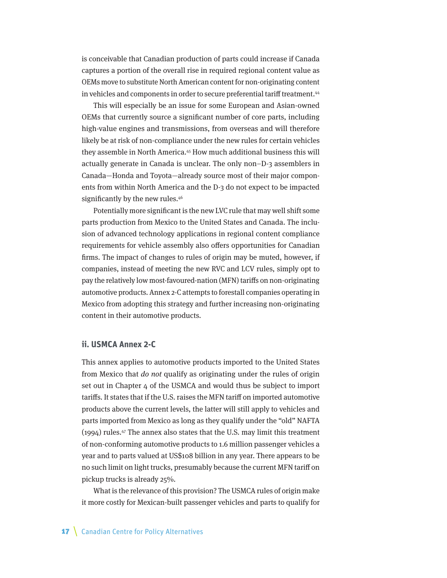<span id="page-16-0"></span>is conceivable that Canadian production of parts could increase if Canada captures a portion of the overall rise in required regional content value as OEMs move to substitute North American content for non-originating content in vehicles and components in order to secure preferential tariff treatment.<sup>[44](#page-37-0)</sup>

This will especially be an issue for some European and Asian-owned OEMs that currently source a significant number of core parts, including high-value engines and transmissions, from overseas and will therefore likely be at risk of non-compliance under the new rules for certain vehicles they assemble in North America.[45](#page-37-0) How much additional business this will actually generate in Canada is unclear. The only non–D-3 assemblers in Canada—Honda and Toyota—already source most of their major components from within North America and the D-3 do not expect to be impacted significantly by the new rules.<sup>46</sup>

Potentially more significant is the new LVC rule that may well shift some parts production from Mexico to the United States and Canada. The inclusion of advanced technology applications in regional content compliance requirements for vehicle assembly also offers opportunities for Canadian firms. The impact of changes to rules of origin may be muted, however, if companies, instead of meeting the new RVC and LCV rules, simply opt to pay the relatively low most-favoured-nation (MFN) tariffs on non-originating automotive products. Annex 2-C attempts to forestall companies operating in Mexico from adopting this strategy and further increasing non-originating content in their automotive products.

#### **ii. USMCA Annex 2-C**

This annex applies to automotive products imported to the United States from Mexico that do not qualify as originating under the rules of origin set out in Chapter 4 of the USMCA and would thus be subject to import tariffs. It states that if the U.S. raises the MFN tariff on imported automotive products above the current levels, the latter will still apply to vehicles and parts imported from Mexico as long as they qualify under the "old" NAFTA (1994) rules[.47](#page-38-0) The annex also states that the U.S. may limit this treatment of non-conforming automotive products to 1.6 million passenger vehicles a year and to parts valued at US\$108 billion in any year. There appears to be no such limit on light trucks, presumably because the current MFN tariff on pickup trucks is already 25%.

What is the relevance of this provision? The USMCA rules of origin make it more costly for Mexican-built passenger vehicles and parts to qualify for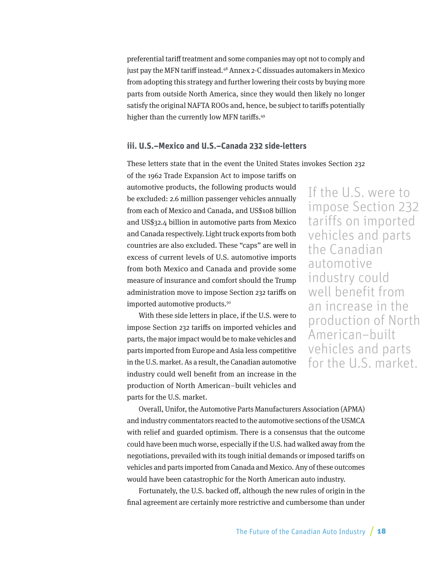<span id="page-17-0"></span>preferential tariff treatment and some companies may opt not to comply and just pay the MFN tariff instead.<sup>[48](#page-38-0)</sup> Annex 2-C dissuades automakers in Mexico from adopting this strategy and further lowering their costs by buying more parts from outside North America, since they would then likely no longer satisfy the original NAFTA ROOs and, hence, be subject to tariffs potentially higher than the currently low MFN tariffs.<sup>49</sup>

#### **iii. U.S.–Mexico and U.S.–Canada 232 side-letters**

These letters state that in the event the United States invokes Section 232

of the 1962 Trade Expansion Act to impose tariffs on automotive products, the following products would be excluded: 2.6 million passenger vehicles annually from each of Mexico and Canada, and US\$108 billion and US\$32.4 billion in automotive parts from Mexico and Canada respectively. Light truck exports from both countries are also excluded. These "caps" are well in excess of current levels of U.S. automotive imports from both Mexico and Canada and provide some measure of insurance and comfort should the Trump administration move to impose Section 232 tariffs on imported automotive products.<sup>50</sup>

With these side letters in place, if the U.S. were to impose Section 232 tariffs on imported vehicles and parts, the major impact would be to make vehicles and parts imported from Europe and Asia less competitive in the U.S. market. As a result, the Canadian automotive industry could well benefit from an increase in the production of North American–built vehicles and parts for the U.S. market.

If the U.S. were to impose Section 232 tariffs on imported vehicles and parts the Canadian automotive industry could well benefit from an increase in the production of North American–built vehicles and parts for the U.S. market.

Overall, Unifor, the Automotive Parts Manufacturers Association (APMA) and industry commentators reacted to the automotive sections of the USMCA with relief and guarded optimism. There is a consensus that the outcome could have been much worse, especially if the U.S. had walked away from the negotiations, prevailed with its tough initial demands or imposed tariffs on vehicles and parts imported from Canada and Mexico. Any of these outcomes would have been catastrophic for the North American auto industry.

Fortunately, the U.S. backed off, although the new rules of origin in the final agreement are certainly more restrictive and cumbersome than under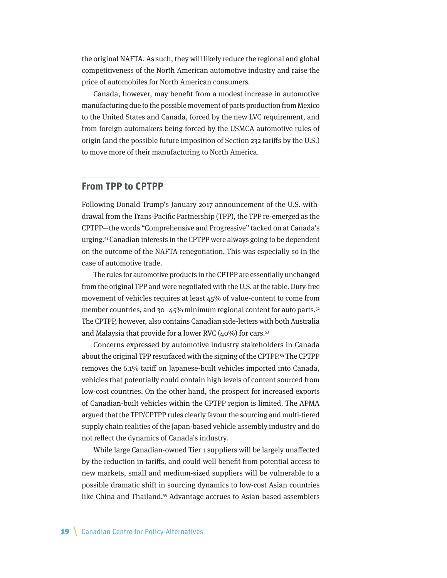<span id="page-18-0"></span>the original NAFTA. As such, they will likely reduce the regional and global competitiveness of the North American automotive industry and raise the price of automobiles for North American consumers.

Canada, however, may benefit from a modest increase in automotive manufacturing due to the possible movement of parts production from Mexico to the United States and Canada, forced by the new LVC requirement, and from foreign automakers being forced by the USMCA automotive rules of origin (and the possible future imposition of Section 232 tariffs by the U.S.) to move more of their manufacturing to North America.

#### **From TPP to CPTPP**

Following Donald Trump's January 2017 announcement of the U.S. withdrawal from the Trans-Pacific Partnership (TPP), the TPP re-emerged as the CPTPP—the words "Comprehensive and Progressive" tacked on at Canada's urging[.51](#page-38-0) Canadian interests in the CPTPP were always going to be dependent on the outcome of the NAFTA renegotiation. This was especially so in the case of automotive trade.

The rules for automotive products in the CPTPP are essentially unchanged from the original TPP and were negotiated with the U.S. at the table. Duty-free movement of vehicles requires at least 45% of value-content to come from member countries, and  $30-45%$  minimum regional content for auto parts.<sup>52</sup> The CPTPP, however, also contains Canadian side-letters with both Australia and Malaysia that provide for a lower RVC ( $40\%$ ) for cars.<sup>53</sup>

Concerns expressed by automotive industry stakeholders in Canada about the original TPP resurfaced with the signing of the CPTPP.<sup>[54](#page-38-0)</sup> The CPTPP removes the 6.1% tariff on Japanese-built vehicles imported into Canada, vehicles that potentially could contain high levels of content sourced from low-cost countries. On the other hand, the prospect for increased exports of Canadian-built vehicles within the CPTPP region is limited. The APMA argued that the TPP/CPTPP rules clearly favour the sourcing and multi-tiered supply chain realities of the Japan-based vehicle assembly industry and do not reflect the dynamics of Canada's industry.

While large Canadian-owned Tier 1 suppliers will be largely unaffected by the reduction in tariffs, and could well benefit from potential access to new markets, small and medium-sized suppliers will be vulnerable to a possible dramatic shift in sourcing dynamics to low-cost Asian countries like China and Thailand[.55](#page-38-0) Advantage accrues to Asian-based assemblers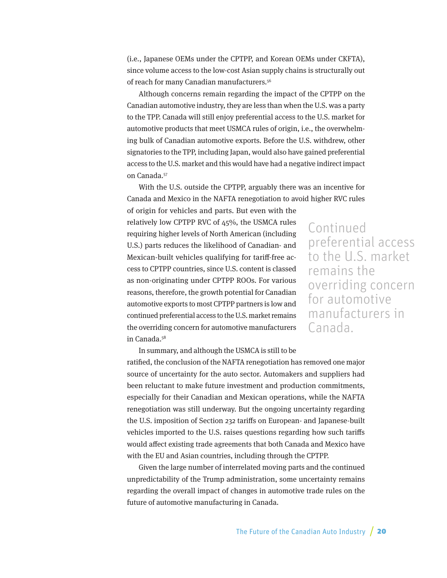<span id="page-19-0"></span>(i.e., Japanese OEMs under the CPTPP, and Korean OEMs under CKFTA), since volume access to the low-cost Asian supply chains is structurally out of reach for many Canadian manufacturers.[56](#page-38-0)

Although concerns remain regarding the impact of the CPTPP on the Canadian automotive industry, they are less than when the U.S. was a party to the TPP. Canada will still enjoy preferential access to the U.S. market for automotive products that meet USMCA rules of origin, i.e., the overwhelming bulk of Canadian automotive exports. Before the U.S. withdrew, other signatories to the TPP, including Japan, would also have gained preferential access to the U.S. market and this would have had a negative indirect impact on Canada.[57](#page-39-0)

With the U.S. outside the CPTPP, arguably there was an incentive for Canada and Mexico in the NAFTA renegotiation to avoid higher RVC rules of origin for vehicles and parts. But even with the

relatively low CPTPP RVC of 45%, the USMCA rules requiring higher levels of North American (including U.S.) parts reduces the likelihood of Canadian- and Mexican-built vehicles qualifying for tariff-free access to CPTPP countries, since U.S. content is classed as non-originating under CPTPP ROOs. For various reasons, therefore, the growth potential for Canadian automotive exports to most CPTPP partners is low and continued preferential access to the U.S. market remains the overriding concern for automotive manufacturers in Canada[.58](#page-39-0)

Continued preferential access to the U.S. market remains the overriding concern for automotive manufacturers in Canada.

In summary, and although the USMCA is still to be ratified, the conclusion of the NAFTA renegotiation has removed one major source of uncertainty for the auto sector. Automakers and suppliers had been reluctant to make future investment and production commitments, especially for their Canadian and Mexican operations, while the NAFTA renegotiation was still underway. But the ongoing uncertainty regarding the U.S. imposition of Section 232 tariffs on European- and Japanese-built vehicles imported to the U.S. raises questions regarding how such tariffs would affect existing trade agreements that both Canada and Mexico have with the EU and Asian countries, including through the CPTPP.

Given the large number of interrelated moving parts and the continued unpredictability of the Trump administration, some uncertainty remains regarding the overall impact of changes in automotive trade rules on the future of automotive manufacturing in Canada.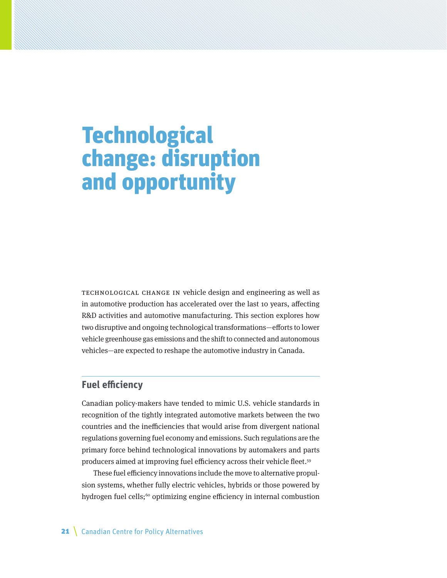# <span id="page-20-0"></span>**Technological** change: disruption and opportunity

Technological change in vehicle design and engineering as well as in automotive production has accelerated over the last 10 years, affecting R&D activities and automotive manufacturing. This section explores how two disruptive and ongoing technological transformations—efforts to lower vehicle greenhouse gas emissions and the shift to connected and autonomous vehicles—are expected to reshape the automotive industry in Canada.

#### **Fuel efficiency**

Canadian policy-makers have tended to mimic U.S. vehicle standards in recognition of the tightly integrated automotive markets between the two countries and the inefficiencies that would arise from divergent national regulations governing fuel economy and emissions. Such regulations are the primary force behind technological innovations by automakers and parts producers aimed at improving fuel efficiency across their vehicle fleet.<sup>59</sup>

These fuel efficiency innovations include the move to alternative propulsion systems, whether fully electric vehicles, hybrids or those powered by hydrogen fuel cells;<sup>60</sup> optimizing engine efficiency in internal combustion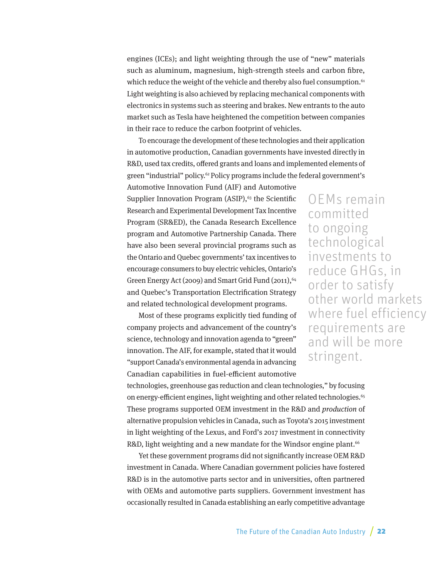<span id="page-21-0"></span>engines (ICEs); and light weighting through the use of "new" materials such as aluminum, magnesium, high-strength steels and carbon fibre, which reduce the weight of the vehicle and thereby also fuel consumption.<sup>61</sup> Light weighting is also achieved by replacing mechanical components with electronics in systems such as steering and brakes. New entrants to the auto market such as Tesla have heightened the competition between companies in their race to reduce the carbon footprint of vehicles.

To encourage the development of these technologies and their application in automotive production, Canadian governments have invested directly in R&D, used tax credits, offered grants and loans and implemented elements of green "industrial" policy[.62](#page-39-0) Policy programs include the federal government's

Automotive Innovation Fund (AIF) and Automotive Supplier Innovation Program  $(ASIP)$ ,<sup>63</sup> the Scientific Research and Experimental Development Tax Incentive Program (SR&ED), the Canada Research Excellence program and Automotive Partnership Canada. There have also been several provincial programs such as the Ontario and Quebec governments' tax incentives to encourage consumers to buy electric vehicles, Ontario's Green Energy Act (2009) and Smart Grid Fund (2011), <sup>[64](#page-39-0)</sup> and Quebec's Transportation Electrification Strategy and related technological development programs.

Most of these programs explicitly tied funding of company projects and advancement of the country's science, technology and innovation agenda to "green" innovation. The AIF, for example, stated that it would "support Canada's environmental agenda in advancing Canadian capabilities in fuel-efficient automotive

OEMs remain committed to ongoing technological investments to reduce GHGs, in order to satisfy other world markets where fuel efficiency requirements are and will be more stringent.

technologies, greenhouse gas reduction and clean technologies," by focusing on energy-efficient engines, light weighting and other related technologies.<sup>65</sup> These programs supported OEM investment in the R&D and production of alternative propulsion vehicles in Canada, such as Toyota's 2015 investment in light weighting of the Lexus, and Ford's 2017 investment in connectivity R&D, light weighting and a new mandate for the Windsor engine plant.<sup>[66](#page-39-0)</sup>

Yet these government programs did not significantly increase OEM R&D investment in Canada. Where Canadian government policies have fostered R&D is in the automotive parts sector and in universities, often partnered with OEMs and automotive parts suppliers. Government investment has occasionally resulted in Canada establishing an early competitive advantage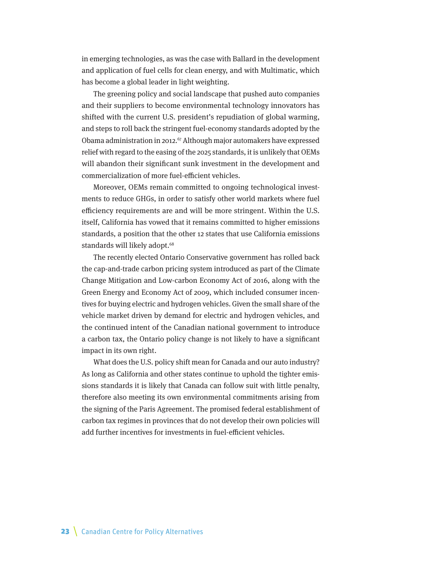<span id="page-22-0"></span>in emerging technologies, as was the case with Ballard in the development and application of fuel cells for clean energy, and with Multimatic, which has become a global leader in light weighting.

The greening policy and social landscape that pushed auto companies and their suppliers to become environmental technology innovators has shifted with the current U.S. president's repudiation of global warming, and steps to roll back the stringent fuel-economy standards adopted by the Obama administration in 2012.<sup>67</sup> Although major automakers have expressed relief with regard to the easing of the 2025 standards, it is unlikely that OEMs will abandon their significant sunk investment in the development and commercialization of more fuel-efficient vehicles.

Moreover, OEMs remain committed to ongoing technological investments to reduce GHGs, in order to satisfy other world markets where fuel efficiency requirements are and will be more stringent. Within the U.S. itself, California has vowed that it remains committed to higher emissions standards, a position that the other 12 states that use California emissions standards will likely adopt.<sup>68</sup>

The recently elected Ontario Conservative government has rolled back the cap-and-trade carbon pricing system introduced as part of the Climate Change Mitigation and Low-carbon Economy Act of 2016, along with the Green Energy and Economy Act of 2009, which included consumer incentives for buying electric and hydrogen vehicles. Given the small share of the vehicle market driven by demand for electric and hydrogen vehicles, and the continued intent of the Canadian national government to introduce a carbon tax, the Ontario policy change is not likely to have a significant impact in its own right.

What does the U.S. policy shift mean for Canada and our auto industry? As long as California and other states continue to uphold the tighter emissions standards it is likely that Canada can follow suit with little penalty, therefore also meeting its own environmental commitments arising from the signing of the Paris Agreement. The promised federal establishment of carbon tax regimes in provinces that do not develop their own policies will add further incentives for investments in fuel-efficient vehicles.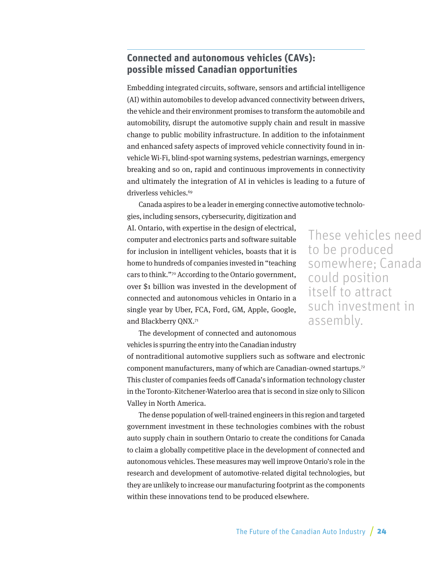### <span id="page-23-0"></span>**Connected and autonomous vehicles (CAVs): possible missed Canadian opportunities**

Embedding integrated circuits, software, sensors and artificial intelligence (AI) within automobiles to develop advanced connectivity between drivers, the vehicle and their environment promises to transform the automobile and automobility, disrupt the automotive supply chain and result in massive change to public mobility infrastructure. In addition to the infotainment and enhanced safety aspects of improved vehicle connectivity found in invehicle Wi-Fi, blind-spot warning systems, pedestrian warnings, emergency breaking and so on, rapid and continuous improvements in connectivity and ultimately the integration of AI in vehicles is leading to a future of driverless vehicles.<sup>[69](#page-39-0)</sup>

Canada aspires to be a leader in emerging connective automotive technolo-

gies, including sensors, cybersecurity, digitization and AI. Ontario, with expertise in the design of electrical, computer and electronics parts and software suitable for inclusion in intelligent vehicles, boasts that it is home to hundreds of companies invested in "teaching cars to think.["70](#page-40-0) According to the Ontario government, over \$1 billion was invested in the development of connected and autonomous vehicles in Ontario in a single year by Uber, FCA, Ford, GM, Apple, Google, and Blackberry QNX.[71](#page-40-0)

These vehicles need to be produced somewhere; Canada could position itself to attract such investment in assembly.

The development of connected and autonomous vehicles is spurring the entry into the Canadian industry

of nontraditional automotive suppliers such as software and electronic component manufacturers, many of which are Canadian-owned startups.[72](#page-40-0) This cluster of companies feeds off Canada's information technology cluster in the Toronto-Kitchener-Waterloo area that is second in size only to Silicon Valley in North America.

The dense population of well-trained engineers in this region and targeted government investment in these technologies combines with the robust auto supply chain in southern Ontario to create the conditions for Canada to claim a globally competitive place in the development of connected and autonomous vehicles. These measures may well improve Ontario's role in the research and development of automotive-related digital technologies, but they are unlikely to increase our manufacturing footprint as the components within these innovations tend to be produced elsewhere.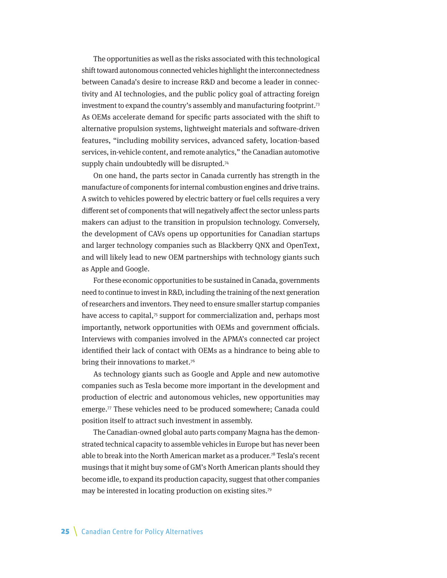<span id="page-24-0"></span>The opportunities as well as the risks associated with this technological shift toward autonomous connected vehicles highlight the interconnectedness between Canada's desire to increase R&D and become a leader in connectivity and AI technologies, and the public policy goal of attracting foreign investment to expand the country's assembly and manufacturing footprint[.73](#page-40-0) As OEMs accelerate demand for specific parts associated with the shift to alternative propulsion systems, lightweight materials and software-driven features, "including mobility services, advanced safety, location-based services, in-vehicle content, and remote analytics," the Canadian automotive supply chain undoubtedly will be disrupted.<sup>[74](#page-40-0)</sup>

On one hand, the parts sector in Canada currently has strength in the manufacture of components for internal combustion engines and drive trains. A switch to vehicles powered by electric battery or fuel cells requires a very different set of components that will negatively affect the sector unless parts makers can adjust to the transition in propulsion technology. Conversely, the development of CAVs opens up opportunities for Canadian startups and larger technology companies such as Blackberry QNX and OpenText, and will likely lead to new OEM partnerships with technology giants such as Apple and Google.

For these economic opportunities to be sustained in Canada, governments need to continue to invest in R&D, including the training of the next generation of researchers and inventors. They need to ensure smaller startup companies have access to capital, $\pi$  support for commercialization and, perhaps most importantly, network opportunities with OEMs and government officials. Interviews with companies involved in the APMA's connected car project identified their lack of contact with OEMs as a hindrance to being able to bring their innovations to market.<sup>76</sup>

As technology giants such as Google and Apple and new automotive companies such as Tesla become more important in the development and production of electric and autonomous vehicles, new opportunities may emerge.<sup>77</sup> These vehicles need to be produced somewhere; Canada could position itself to attract such investment in assembly.

The Canadian-owned global auto parts company Magna has the demonstrated technical capacity to assemble vehicles in Europe but has never been able to break into the North American market as a producer.<sup>78</sup> Tesla's recent musings that it might buy some of GM's North American plants should they become idle, to expand its production capacity, suggest that other companies may be interested in locating production on existing sites.<sup>[79](#page-40-0)</sup>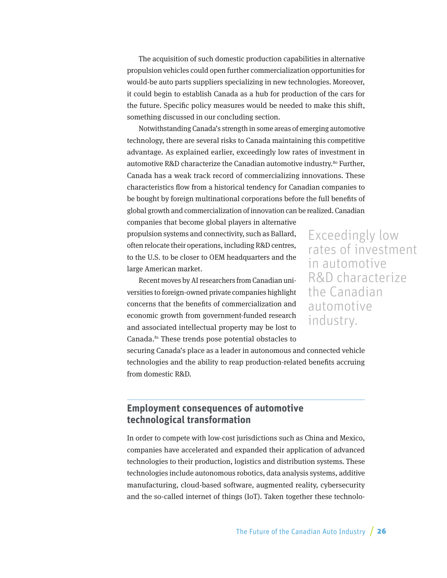<span id="page-25-0"></span>The acquisition of such domestic production capabilities in alternative propulsion vehicles could open further commercialization opportunities for would-be auto parts suppliers specializing in new technologies. Moreover, it could begin to establish Canada as a hub for production of the cars for the future. Specific policy measures would be needed to make this shift, something discussed in our concluding section.

Notwithstanding Canada's strength in some areas of emerging automotive technology, there are several risks to Canada maintaining this competitive advantage. As explained earlier, exceedingly low rates of investment in automotive R&D characterize the Canadian automotive industry.<sup>[80](#page-40-0)</sup> Further, Canada has a weak track record of commercializing innovations. These characteristics flow from a historical tendency for Canadian companies to be bought by foreign multinational corporations before the full benefits of global growth and commercialization of innovation can be realized. Canadian

companies that become global players in alternative propulsion systems and connectivity, such as Ballard, often relocate their operations, including R&D centres, to the U.S. to be closer to OEM headquarters and the large American market.

Exceedingly low rates of investment in automotive R&D characterize the Canadian automotive industry.

Recent moves by AI researchers from Canadian universities to foreign-owned private companies highlight concerns that the benefits of commercialization and economic growth from government-funded research and associated intellectual property may be lost to Canada.[81](#page-40-0) These trends pose potential obstacles to

securing Canada's place as a leader in autonomous and connected vehicle technologies and the ability to reap production-related benefits accruing from domestic R&D.

### **Employment consequences of automotive technological transformation**

In order to compete with low-cost jurisdictions such as China and Mexico, companies have accelerated and expanded their application of advanced technologies to their production, logistics and distribution systems. These technologies include autonomous robotics, data analysis systems, additive manufacturing, cloud-based software, augmented reality, cybersecurity and the so-called internet of things (IoT). Taken together these technolo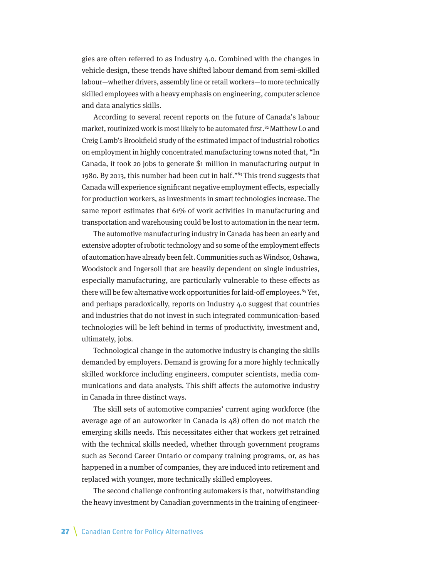<span id="page-26-0"></span>gies are often referred to as Industry 4.0. Combined with the changes in vehicle design, these trends have shifted labour demand from semi-skilled labour—whether drivers, assembly line or retail workers—to more technically skilled employees with a heavy emphasis on engineering, computer science and data analytics skills.

According to several recent reports on the future of Canada's labour market, routinized work is most likely to be automated first.<sup>82</sup> Matthew Lo and Creig Lamb's Brookfield study of the estimated impact of industrial robotics on employment in highly concentrated manufacturing towns noted that, "In Canada, it took 20 jobs to generate \$1 million in manufacturing output in 1980. By 2013, this number had been cut in half."<sup>83</sup> This trend suggests that Canada will experience significant negative employment effects, especially for production workers, as investments in smart technologies increase. The same report estimates that 61% of work activities in manufacturing and transportation and warehousing could be lost to automation in the near term.

The automotive manufacturing industry in Canada has been an early and extensive adopter of robotic technology and so some of the employment effects of automation have already been felt. Communities such as Windsor, Oshawa, Woodstock and Ingersoll that are heavily dependent on single industries, especially manufacturing, are particularly vulnerable to these effects as there will be few alternative work opportunities for laid-off employees.<sup>84</sup> Yet, and perhaps paradoxically, reports on Industry 4.0 suggest that countries and industries that do not invest in such integrated communication-based technologies will be left behind in terms of productivity, investment and, ultimately, jobs.

Technological change in the automotive industry is changing the skills demanded by employers. Demand is growing for a more highly technically skilled workforce including engineers, computer scientists, media communications and data analysts. This shift affects the automotive industry in Canada in three distinct ways.

The skill sets of automotive companies' current aging workforce (the average age of an autoworker in Canada is 48) often do not match the emerging skills needs. This necessitates either that workers get retrained with the technical skills needed, whether through government programs such as Second Career Ontario or company training programs, or, as has happened in a number of companies, they are induced into retirement and replaced with younger, more technically skilled employees.

The second challenge confronting automakers is that, notwithstanding the heavy investment by Canadian governments in the training of engineer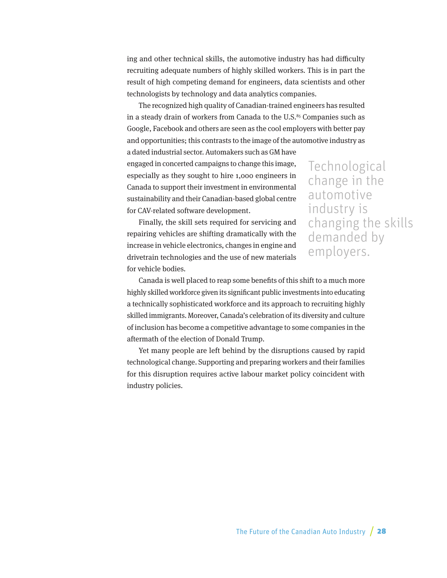<span id="page-27-0"></span>ing and other technical skills, the automotive industry has had difficulty recruiting adequate numbers of highly skilled workers. This is in part the result of high competing demand for engineers, data scientists and other technologists by technology and data analytics companies.

The recognized high quality of Canadian-trained engineers has resulted in a steady drain of workers from Canada to the U.S.<sup>85</sup> Companies such as Google, Facebook and others are seen as the cool employers with better pay and opportunities; this contrasts to the image of the automotive industry as

a dated industrial sector. Automakers such as GM have engaged in concerted campaigns to change this image, especially as they sought to hire 1,000 engineers in Canada to support their investment in environmental sustainability and their Canadian-based global centre for CAV-related software development.

Finally, the skill sets required for servicing and repairing vehicles are shifting dramatically with the increase in vehicle electronics, changes in engine and drivetrain technologies and the use of new materials for vehicle bodies.

Technological change in the automotive industry is changing the skills demanded by employers.

Canada is well placed to reap some benefits of this shift to a much more highly skilled workforce given its significant public investments into educating a technically sophisticated workforce and its approach to recruiting highly skilled immigrants. Moreover, Canada's celebration of its diversity and culture of inclusion has become a competitive advantage to some companies in the aftermath of the election of Donald Trump.

Yet many people are left behind by the disruptions caused by rapid technological change. Supporting and preparing workers and their families for this disruption requires active labour market policy coincident with industry policies.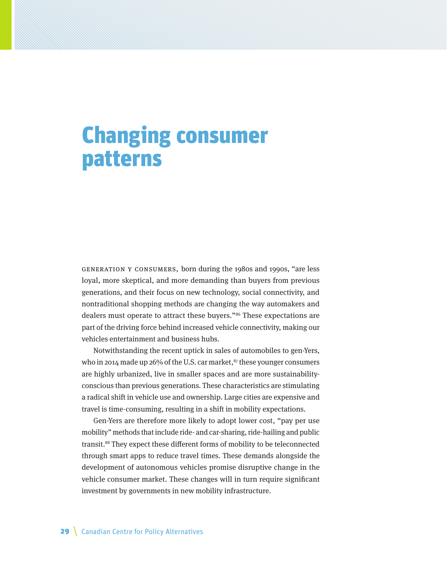# <span id="page-28-0"></span>Changing consumer patterns

Generation Y consumers, born during the 1980s and 1990s, "are less loyal, more skeptical, and more demanding than buyers from previous generations, and their focus on new technology, social connectivity, and nontraditional shopping methods are changing the way automakers and dealers must operate to attract these buyers."<sup>[86](#page-40-0)</sup> These expectations are part of the driving force behind increased vehicle connectivity, making our vehicles entertainment and business hubs.

Notwithstanding the recent uptick in sales of automobiles to gen-Yers, who in 2014 made up 26% of the U.S. car market, $s<sub>7</sub>$  these younger consumers are highly urbanized, live in smaller spaces and are more sustainabilityconscious than previous generations. These characteristics are stimulating a radical shift in vehicle use and ownership. Large cities are expensive and travel is time-consuming, resulting in a shift in mobility expectations.

Gen-Yers are therefore more likely to adopt lower cost, "pay per use mobility" methods that include ride- and car-sharing, ride-hailing and public transit.<sup>[88](#page-40-0)</sup> They expect these different forms of mobility to be teleconnected through smart apps to reduce travel times. These demands alongside the development of autonomous vehicles promise disruptive change in the vehicle consumer market. These changes will in turn require significant investment by governments in new mobility infrastructure.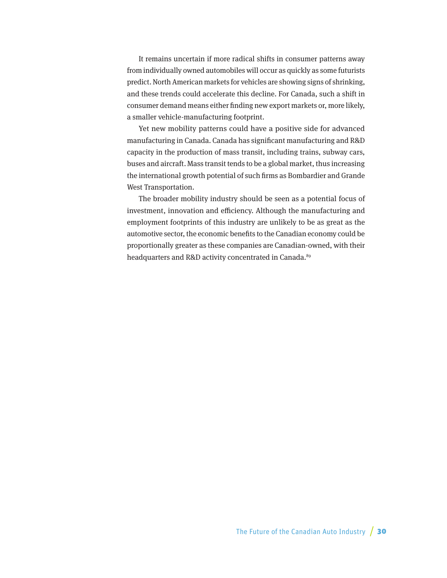<span id="page-29-0"></span>It remains uncertain if more radical shifts in consumer patterns away from individually owned automobiles will occur as quickly as some futurists predict. North American markets for vehicles are showing signs of shrinking, and these trends could accelerate this decline. For Canada, such a shift in consumer demand means either finding new export markets or, more likely, a smaller vehicle-manufacturing footprint.

Yet new mobility patterns could have a positive side for advanced manufacturing in Canada. Canada has significant manufacturing and R&D capacity in the production of mass transit, including trains, subway cars, buses and aircraft. Mass transit tends to be a global market, thus increasing the international growth potential of such firms as Bombardier and Grande West Transportation.

The broader mobility industry should be seen as a potential focus of investment, innovation and efficiency. Although the manufacturing and employment footprints of this industry are unlikely to be as great as the automotive sector, the economic benefits to the Canadian economy could be proportionally greater as these companies are Canadian-owned, with their headquarters and R&D activity concentrated in Canada.<sup>[89](#page-40-0)</sup>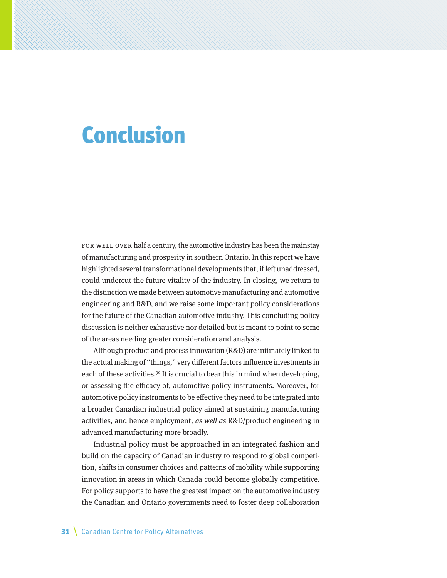## <span id="page-30-0"></span>Conclusion

FOR WELL OVER half a century, the automotive industry has been the mainstay of manufacturing and prosperity in southern Ontario. In this report we have highlighted several transformational developments that, if left unaddressed, could undercut the future vitality of the industry. In closing, we return to the distinction we made between automotive manufacturing and automotive engineering and R&D, and we raise some important policy considerations for the future of the Canadian automotive industry. This concluding policy discussion is neither exhaustive nor detailed but is meant to point to some of the areas needing greater consideration and analysis.

Although product and process innovation (R&D) are intimately linked to the actual making of "things," very different factors influence investments in each of these activities.<sup>90</sup> It is crucial to bear this in mind when developing, or assessing the efficacy of, automotive policy instruments. Moreover, for automotive policy instruments to be effective they need to be integrated into a broader Canadian industrial policy aimed at sustaining manufacturing activities, and hence employment, as well as R&D/product engineering in advanced manufacturing more broadly.

Industrial policy must be approached in an integrated fashion and build on the capacity of Canadian industry to respond to global competition, shifts in consumer choices and patterns of mobility while supporting innovation in areas in which Canada could become globally competitive. For policy supports to have the greatest impact on the automotive industry the Canadian and Ontario governments need to foster deep collaboration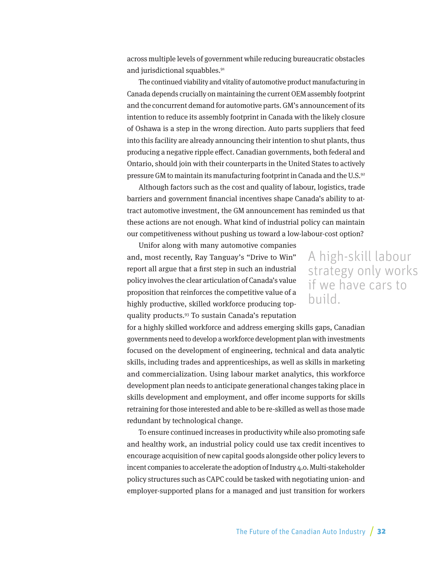<span id="page-31-0"></span>across multiple levels of government while reducing bureaucratic obstacles and jurisdictional squabbles.<sup>91</sup>

The continued viability and vitality of automotive product manufacturing in Canada depends crucially on maintaining the current OEM assembly footprint and the concurrent demand for automotive parts. GM's announcement of its intention to reduce its assembly footprint in Canada with the likely closure of Oshawa is a step in the wrong direction. Auto parts suppliers that feed into this facility are already announcing their intention to shut plants, thus producing a negative ripple effect. Canadian governments, both federal and Ontario, should join with their counterparts in the United States to actively pressure GM to maintain its manufacturing footprint in Canada and the U.S[.92](#page-41-0)

Although factors such as the cost and quality of labour, logistics, trade barriers and government financial incentives shape Canada's ability to attract automotive investment, the GM announcement has reminded us that these actions are not enough. What kind of industrial policy can maintain our competitiveness without pushing us toward a low-labour-cost option?

Unifor along with many automotive companies and, most recently, Ray Tanguay's "Drive to Win" report all argue that a first step in such an industrial policy involves the clear articulation of Canada's value proposition that reinforces the competitive value of a highly productive, skilled workforce producing topquality products.[93](#page-41-0) To sustain Canada's reputation

### A high-skill labour strategy only works if we have cars to build.

for a highly skilled workforce and address emerging skills gaps, Canadian governments need to develop a workforce development plan with investments focused on the development of engineering, technical and data analytic skills, including trades and apprenticeships, as well as skills in marketing and commercialization. Using labour market analytics, this workforce development plan needs to anticipate generational changes taking place in skills development and employment, and offer income supports for skills retraining for those interested and able to be re-skilled as well as those made redundant by technological change.

To ensure continued increases in productivity while also promoting safe and healthy work, an industrial policy could use tax credit incentives to encourage acquisition of new capital goods alongside other policy levers to incent companies to accelerate the adoption of Industry 4.0. Multi-stakeholder policy structures such as CAPC could be tasked with negotiating union- and employer-supported plans for a managed and just transition for workers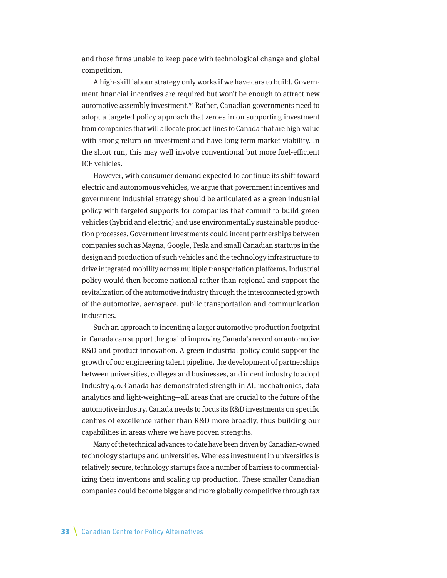<span id="page-32-0"></span>and those firms unable to keep pace with technological change and global competition.

A high-skill labour strategy only works if we have cars to build. Government financial incentives are required but won't be enough to attract new automotive assembly investment.[94](#page-41-0) Rather, Canadian governments need to adopt a targeted policy approach that zeroes in on supporting investment from companies that will allocate product lines to Canada that are high-value with strong return on investment and have long-term market viability. In the short run, this may well involve conventional but more fuel-efficient ICE vehicles.

However, with consumer demand expected to continue its shift toward electric and autonomous vehicles, we argue that government incentives and government industrial strategy should be articulated as a green industrial policy with targeted supports for companies that commit to build green vehicles (hybrid and electric) and use environmentally sustainable production processes. Government investments could incent partnerships between companies such as Magna, Google, Tesla and small Canadian startups in the design and production of such vehicles and the technology infrastructure to drive integrated mobility across multiple transportation platforms. Industrial policy would then become national rather than regional and support the revitalization of the automotive industry through the interconnected growth of the automotive, aerospace, public transportation and communication industries.

Such an approach to incenting a larger automotive production footprint in Canada can support the goal of improving Canada's record on automotive R&D and product innovation. A green industrial policy could support the growth of our engineering talent pipeline, the development of partnerships between universities, colleges and businesses, and incent industry to adopt Industry 4.0. Canada has demonstrated strength in AI, mechatronics, data analytics and light-weighting—all areas that are crucial to the future of the automotive industry. Canada needs to focus its R&D investments on specific centres of excellence rather than R&D more broadly, thus building our capabilities in areas where we have proven strengths.

Many of the technical advances to date have been driven by Canadian-owned technology startups and universities. Whereas investment in universities is relatively secure, technology startups face a number of barriers to commercializing their inventions and scaling up production. These smaller Canadian companies could become bigger and more globally competitive through tax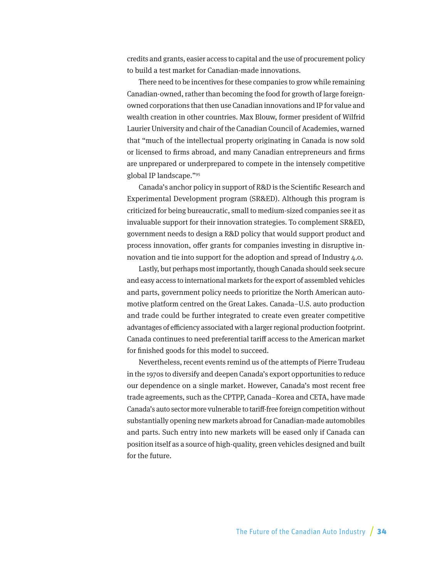<span id="page-33-0"></span>credits and grants, easier access to capital and the use of procurement policy to build a test market for Canadian-made innovations.

There need to be incentives for these companies to grow while remaining Canadian-owned, rather than becoming the food for growth of large foreignowned corporations that then use Canadian innovations and IP for value and wealth creation in other countries. Max Blouw, former president of Wilfrid Laurier University and chair of the Canadian Council of Academies, warned that "much of the intellectual property originating in Canada is now sold or licensed to firms abroad, and many Canadian entrepreneurs and firms are unprepared or underprepared to compete in the intensely competitive global IP landscape.["95](#page-41-0)

Canada's anchor policy in support of R&D is the Scientific Research and Experimental Development program (SR&ED). Although this program is criticized for being bureaucratic, small to medium-sized companies see it as invaluable support for their innovation strategies. To complement SR&ED, government needs to design a R&D policy that would support product and process innovation, offer grants for companies investing in disruptive innovation and tie into support for the adoption and spread of Industry 4.0.

Lastly, but perhaps most importantly, though Canada should seek secure and easy access to international markets for the export of assembled vehicles and parts, government policy needs to prioritize the North American automotive platform centred on the Great Lakes. Canada–U.S. auto production and trade could be further integrated to create even greater competitive advantages of efficiency associated with a larger regional production footprint. Canada continues to need preferential tariff access to the American market for finished goods for this model to succeed.

Nevertheless, recent events remind us of the attempts of Pierre Trudeau in the 1970s to diversify and deepen Canada's export opportunities to reduce our dependence on a single market. However, Canada's most recent free trade agreements, such as the CPTPP, Canada–Korea and CETA, have made Canada's auto sector more vulnerable to tariff-free foreign competition without substantially opening new markets abroad for Canadian-made automobiles and parts. Such entry into new markets will be eased only if Canada can position itself as a source of high-quality, green vehicles designed and built for the future.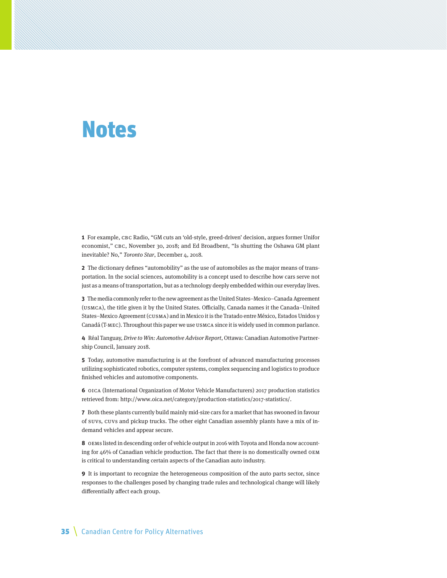## <span id="page-34-0"></span>Notes

**[1](#page-3-0)** For example, CBC Radio, "GM cuts an 'old-style, greed-driven' decision, argues former Unifor economist," CBC, November 30, 2018; and Ed Broadbent, "Is shutting the Oshawa GM plant inevitable? No," Toronto Star, December 4, 2018.

**[2](#page-4-0)** The dictionary defines "automobility" as the use of automobiles as the major means of transportation. In the social sciences, automobility is a concept used to describe how cars serve not just as a means of transportation, but as a technology deeply embedded within our everyday lives.

**[3](#page-4-0)** The media commonly refer to the new agreement as the United States–Mexico–Canada Agreement (USMCA), the title given it by the United States. Officially, Canada names it the Canada–United States–Mexico Agreement (CUSMA) and in Mexico it is the Tratado entre México, Estados Unidos y Canadá (T-MEC). Throughout this paper we use USMCA since it is widely used in common parlance.

**[4](#page-4-0)** Réal Tanguay, Drive to Win: Automotive Advisor Report, Ottawa: Canadian Automotive Partnership Council, January 2018.

**[5](#page-4-0)** Today, automotive manufacturing is at the forefront of advanced manufacturing processes utilizing sophisticated robotics, computer systems, complex sequencing and logistics to produce finished vehicles and automotive components.

**[6](#page-4-0)** OICA (International Organization of Motor Vehicle Manufacturers) 2017 production statistics retrieved from: <http://www.oica.net/category/production-statistics/2017-statistics/>.

**[7](#page-5-0)** Both these plants currently build mainly mid-size cars for a market that has swooned in favour of SUVs, CUVs and pickup trucks. The other eight Canadian assembly plants have a mix of indemand vehicles and appear secure.

**[8](#page-5-0)** OEMs listed in descending order of vehicle output in 2016 with Toyota and Honda now accounting for 46% of Canadian vehicle production. The fact that there is no domestically owned OEM is critical to understanding certain aspects of the Canadian auto industry.

**[9](#page-5-0)** It is important to recognize the heterogeneous composition of the auto parts sector, since responses to the challenges posed by changing trade rules and technological change will likely differentially affect each group.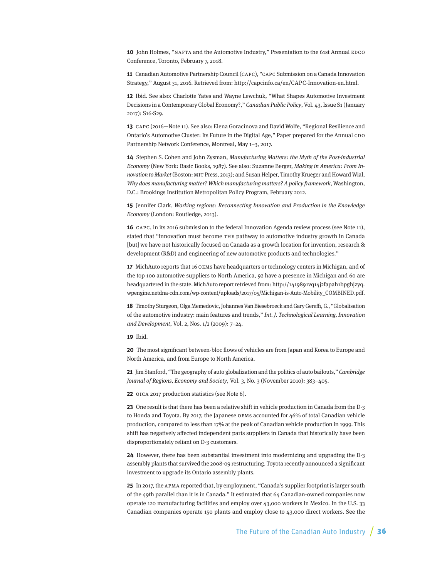<span id="page-35-0"></span>**[10](#page-6-0)** John Holmes, "NAFTA and the Automotive Industry," Presentation to the 61st Annual EDCO Conference, Toronto, February 7, 2018.

**[11](#page-6-0)** Canadian Automotive Partnership Council (CAPC), "CAPC Submission on a Canada Innovation Strategy," August 31, 2016. Retrieved from: [http://capcinfo.ca/en/CAPC-Innovation-en.html.](http://capcinfo.ca/en/CAPC-Innovation-en.html)

**[12](#page-6-0)** Ibid. See also: Charlotte Yates and Wayne Lewchuk, "What Shapes Automotive Investment Decisions in a Contemporary Global Economy?," Canadian Public Policy, Vol. 43, Issue S1 (January 2017): S16-S29.

**[13](#page-6-0)** CAPC (2016—Note 11). See also: Elena Goracinova and David Wolfe, "Regional Resilience and Ontario's Automotive Cluster: Its Future in the Digital Age," Paper prepared for the Annual CDO Partnership Network Conference, Montreal, May 1–3, 2017.

**[14](#page-6-0)** Stephen S. Cohen and John Zysman, Manufacturing Matters: the Myth of the Post-industrial Economy (New York: Basic Books, 1987). See also: Suzanne Berger, Making in America: From Innovation to Market (Boston: MIT Press, 2013); and Susan Helper, Timothy Krueger and Howard Wial, Why does manufacturing matter? Which manufacturing matters? A policy framework, Washington, D.C.: Brookings Institution Metropolitan Policy Program, February 2012.

**[15](#page-6-0)** Jennifer Clark, Working regions: Reconnecting Innovation and Production in the Knowledge Economy (London: Routledge, 2013).

**[16](#page-6-0)** CAPC, in its 2016 submission to the federal Innovation Agenda review process (see Note 11), stated that "innovation must become THE pathway to automotive industry growth in Canada [but] we have not historically focused on Canada as a growth location for invention, research & development (R&D) and engineering of new automotive products and technologies."

**[17](#page-7-0)** MichAuto reports that 16 OEMs have headquarters or technology centers in Michigan, and of the top 100 automotive suppliers to North America, 92 have a presence in Michigan and 60 are headquartered in the state. MichAuto report retrieved from: [http://1419891vq14j2fapah1bpghjzyq.](http://1419891vq14j2fapah1bpghjzyq.wpengine.netdna-cdn.com/wp-content/uploads/2017/05/Michigan-is-Auto-Mobility_COMBINED.pdf) [wpengine.netdna-cdn.com/wp-content/uploads/2017/05/Michigan-is-Auto-Mobility\\_COMBINED.pdf.](http://1419891vq14j2fapah1bpghjzyq.wpengine.netdna-cdn.com/wp-content/uploads/2017/05/Michigan-is-Auto-Mobility_COMBINED.pdf)

**[18](#page-7-0)** Timothy Sturgeon, Olga Memedovic, Johannes Van Biesebroeck and Gary Gereffi, G., "Globalisation of the automotive industry: main features and trends," Int. J. Technological Learning, Innovation and Development, Vol. 2, Nos. 1/2 (2009): 7–24.

**[19](#page-8-0)** Ibid.

**[20](#page-8-0)** The most significant between-bloc flows of vehicles are from Japan and Korea to Europe and North America, and from Europe to North America.

**[21](#page-9-0)** Jim Stanford, "The geography of auto globalization and the politics of auto bailouts," Cambridge Journal of Regions, Economy and Society, Vol. 3, No. 3 (November 2010): 383–405.

**[22](#page-9-0)** OICA 2017 production statistics (see Note 6).

**[23](#page-10-0)** One result is that there has been a relative shift in vehicle production in Canada from the D-3 to Honda and Toyota. By 2017, the Japanese OEMs accounted for 46% of total Canadian vehicle production, compared to less than 17% at the peak of Canadian vehicle production in 1999. This shift has negatively affected independent parts suppliers in Canada that historically have been disproportionately reliant on D-3 customers.

**[24](#page-10-0)** However, there has been substantial investment into modernizing and upgrading the D-3 assembly plants that survived the 2008-09 restructuring. Toyota recently announced a significant investment to upgrade its Ontario assembly plants.

**[25](#page-10-0)** In 2017, the APMA reported that, by employment, "Canada's supplier footprint is larger south of the 49th parallel than it is in Canada." It estimated that 64 Canadian-owned companies now operate 120 manufacturing facilities and employ over 43,000 workers in Mexico. In the U.S. 33 Canadian companies operate 150 plants and employ close to 43,000 direct workers. See the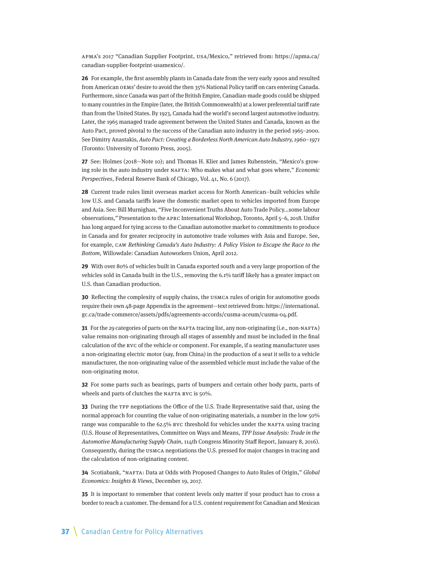<span id="page-36-0"></span>APMA's 2017 "Canadian Supplier Footprint, USA/Mexico," retrieved from: [https://apma.ca/](https://apma.ca/canadian-supplier-footprint-usamexico/) [canadian-supplier-footprint-usamexico/](https://apma.ca/canadian-supplier-footprint-usamexico/).

**[26](#page-11-0)** For example, the first assembly plants in Canada date from the very early 1900s and resulted from American OEMs' desire to avoid the then 35% National Policy tariff on cars entering Canada. Furthermore, since Canada was part of the British Empire, Canadian-made goods could be shipped to many countries in the Empire (later, the British Commonwealth) at a lower preferential tariff rate than from the United States. By 1923, Canada had the world's second largest automotive industry. Later, the 1965 managed trade agreement between the United States and Canada, known as the Auto Pact, proved pivotal to the success of the Canadian auto industry in the period 1965–2000. See Dimitry Anastakis, Auto Pact: Creating a Borderless North American Auto Industry, 1960–1971 (Toronto: University of Toronto Press, 2005).

**[27](#page-12-0)** See: Holmes (2018—Note 10); and Thomas H. Klier and James Rubenstein, "Mexico's growing role in the auto industry under NAFTA: Who makes what and what goes where," Economic Perspectives, Federal Reserve Bank of Chicago, Vol. 41, No. 6 (2017).

**[28](#page-12-0)** Current trade rules limit overseas market access for North American–built vehicles while low U.S. and Canada tariffs leave the domestic market open to vehicles imported from Europe and Asia. See: Bill Murnighan, "Five Inconvenient Truths About Auto Trade Policy...some labour observations," Presentation to the APRC International Workshop, Toronto, April 5–6, 2018. Unifor has long argued for tying access to the Canadian automotive market to commitments to produce in Canada and for greater reciprocity in automotive trade volumes with Asia and Europe. See, for example, CAW Rethinking Canada's Auto Industry: A Policy Vision to Escape the Race to the Bottom, Willowdale: Canadian Autoworkers Union, April 2012.

**[29](#page-12-0)** With over 80% of vehicles built in Canada exported south and a very large proportion of the vehicles sold in Canada built in the U.S., removing the 6.1% tariff likely has a greater impact on U.S. than Canadian production.

**[30](#page-13-0)** Reflecting the complexity of supply chains, the USMCA rules of origin for automotive goods require their own 48-page Appendix in the agreement—text retrieved from: [https://international.](https://international.gc.ca/trade-commerce/assets/pdfs/agreements-accords/cusma-aceum/cusma-04.pdf) [gc.ca/trade-commerce/assets/pdfs/agreements-accords/cusma-aceum/cusma-04.pdf.](https://international.gc.ca/trade-commerce/assets/pdfs/agreements-accords/cusma-aceum/cusma-04.pdf)

**[31](#page-13-0)** For the 29 categories of parts on the NAFTA tracing list, any non-originating (i.e., non-NAFTA) value remains non-originating through all stages of assembly and must be included in the final calculation of the RVC of the vehicle or component. For example, if a seating manufacturer uses a non-originating electric motor (say, from China) in the production of a seat it sells to a vehicle manufacturer, the non-originating value of the assembled vehicle must include the value of the non-originating motor.

**[32](#page-13-0)** For some parts such as bearings, parts of bumpers and certain other body parts, parts of wheels and parts of clutches the NAFTA RVC is 50%.

**[33](#page-13-0)** During the TPP negotiations the Office of the U.S. Trade Representative said that, using the normal approach for counting the value of non-originating materials, a number in the low 50% range was comparable to the 62.5% RVC threshold for vehicles under the NAFTA using tracing (U.S. House of Representatives, Committee on Ways and Means, TPP Issue Analysis: Trade in the Automotive Manufacturing Supply Chain, 114th Congress Minority Staff Report, January 8, 2016). Consequently, during the USMCA negotiations the U.S. pressed for major changes in tracing and the calculation of non-originating content.

**[34](#page-14-0)** Scotiabank, "NAFTA: Data at Odds with Proposed Changes to Auto Rules of Origin," Global Economics: Insights & Views, December 19, 2017.

**35** It is important to remember that content levels only matter if your product has to cross a border to reach a customer. The demand for a U.S. content requirement for Canadian and Mexican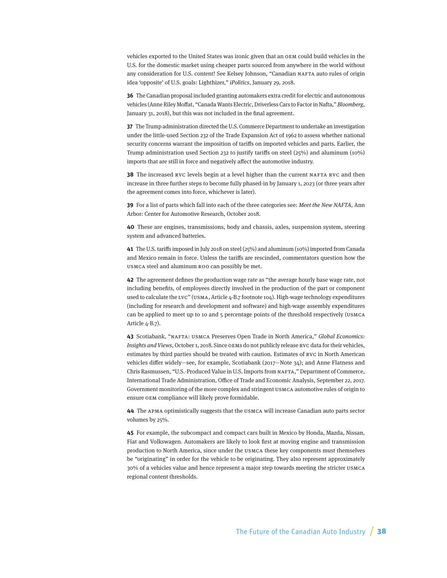<span id="page-37-0"></span>vehicles exported to the United States was ironic given that an OEM could build vehicles in the U.S. for the domestic market using cheaper parts sourced from anywhere in the world without any consideration for U.S. content! See Kelsey Johnson, "Canadian NAFTA auto rules of origin idea 'opposite' of U.S. goals: Lighthizer," iPolitics, January 29, 2018.

**[36](#page-14-0)** The Canadian proposal included granting automakers extra credit for electric and autonomous vehicles (Anne Riley Moffat, "Canada Wants Electric, Driverless Cars to Factor in Nafta," Bloomberg, January 31, 2018), but this was not included in the final agreement.

**[37](#page-15-0)** The Trump administration directed the U.S. Commerce Department to undertake an investigation under the little-used Section 232 of the Trade Expansion Act of 1962 to assess whether national security concerns warrant the imposition of tariffs on imported vehicles and parts. Earlier, the Trump administration used Section 232 to justify tariffs on steel (25%) and aluminum (10%) imports that are still in force and negatively affect the automotive industry.

**[38](#page-15-0)** The increased RVC levels begin at a level higher than the current NAFTA RVC and then increase in three further steps to become fully phased-in by January 1, 2023 (or three years after the agreement comes into force, whichever is later).

**[39](#page-15-0)** For a list of parts which fall into each of the three categories see: Meet the New NAFTA, Ann Arbor: Center for Automotive Research, October 2018.

**[40](#page-15-0)** These are engines, transmissions, body and chassis, axles, suspension system, steering system and advanced batteries.

**[41](#page-15-0)** The U.S. tariffs imposed in July 2018 on steel (25%) and aluminum (10%) imported from Canada and Mexico remain in force. Unless the tariffs are rescinded, commentators question how the USMCA steel and aluminum ROO can possibly be met.

**[42](#page-15-0)** The agreement defines the production wage rate as "the average hourly base wage rate, not including benefits, of employees directly involved in the production of the part or component used to calculate the LVC" (USMA, Article 4-B.7 footnote 104). High-wage technology expenditures (including for research and development and software) and high-wage assembly expenditures can be applied to meet up to 10 and 5 percentage points of the threshold respectively (USMCA Article 4-B.7).

**[43](#page-15-0)** Scotiabank, "NAFTA: USMCA Preserves Open Trade in North America," Global Economics: Insights and Views, October 1, 2018. Since OEMs do not publicly release RVC data for their vehicles, estimates by third parties should be treated with caution. Estimates of RVC in North American vehicles differ widely—see, for example, Scotiabank (2017—Note 34); and Anne Flatness and Chris Rasmussen, "U.S.-Produced Value in U.S. Imports from NAFTA," Department of Commerce, International Trade Administration, Office of Trade and Economic Analysis, September 22, 2017. Government monitoring of the more complex and stringent USMCA automotive rules of origin to ensure OEM compliance will likely prove formidable.

**[44](#page-16-0)** The APMA optimistically suggests that the USMCA will increase Canadian auto parts sector volumes by 25%.

**[45](#page-16-0)** For example, the subcompact and compact cars built in Mexico by Honda, Mazda, Nissan, Fiat and Volkswagen. Automakers are likely to look first at moving engine and transmission production to North America, since under the USMCA these key components must themselves be "originating" in order for the vehicle to be originating. They also represent approximately 30% of a vehicles value and hence represent a major step towards meeting the stricter USMCA regional content thresholds.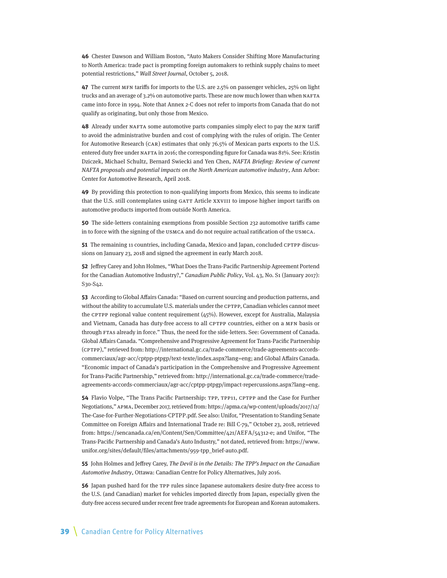<span id="page-38-0"></span>**[46](#page-16-0)** Chester Dawson and William Boston, "Auto Makers Consider Shifting More Manufacturing to North America: trade pact is prompting foreign automakers to rethink supply chains to meet potential restrictions," Wall Street Journal, October 5, 2018.

**[47](#page-16-0)** The current MFN tariffs for imports to the U.S. are 2.5% on passenger vehicles, 25% on light trucks and an average of 3.2% on automotive parts. These are now much lower than when NAFTA came into force in 1994. Note that Annex 2-C does not refer to imports from Canada that do not qualify as originating, but only those from Mexico.

**[48](#page-17-0)** Already under NAFTA some automotive parts companies simply elect to pay the MFN tariff to avoid the administrative burden and cost of complying with the rules of origin. The Center for Automotive Research (CAR) estimates that only 76.5% of Mexican parts exports to the U.S. entered duty free under NAFTA in 2016; the corresponding figure for Canada was 81%. See: Kristin Dziczek, Michael Schultz, Bernard Swiecki and Yen Chen, NAFTA Briefing: Review of current NAFTA proposals and potential impacts on the North American automotive industry, Ann Arbor: Center for Automotive Research, April 2018.

**[49](#page-17-0)** By providing this protection to non-qualifying imports from Mexico, this seems to indicate that the U.S. still contemplates using GATT Article XXVIII to impose higher import tariffs on automotive products imported from outside North America.

**[50](#page-17-0)** The side-letters containing exemptions from possible Section 232 automotive tariffs came in to force with the signing of the USMCA and do not require actual ratification of the USMCA.

**[51](#page-18-0)** The remaining 11 countries, including Canada, Mexico and Japan, concluded CPTPP discussions on January 23, 2018 and signed the agreement in early March 2018.

**[52](#page-18-0)** Jeffrey Carey and John Holmes, "What Does the Trans-Pacific Partnership Agreement Portend for the Canadian Automotive Industry?," Canadian Public Policy, Vol. 43, No. S1 (January 2017): S30-S42.

**[53](#page-18-0)** According to Global Affairs Canada: "Based on current sourcing and production patterns, and without the ability to accumulate U.S. materials under the CPTPP, Canadian vehicles cannot meet the CPTPP regional value content requirement (45%). However, except for Australia, Malaysia and Vietnam, Canada has duty-free access to all CPTPP countries, either on a MFN basis or through FTAs already in force." Thus, the need for the side-letters. See: Government of Canada. Global Affairs Canada. "Comprehensive and Progressive Agreement for Trans-Pacific Partnership (CPTPP)," retrieved from: [http://international.gc.ca/trade-commerce/trade-agreements-accords](http://international.gc.ca/trade-commerce/trade-agreements-accords-commerciaux/agr-acc/cptpp-ptpgp/text-texte/index.aspx?lang=eng)[commerciaux/agr-acc/cptpp-ptpgp/text-texte/index.aspx?lang=eng;](http://international.gc.ca/trade-commerce/trade-agreements-accords-commerciaux/agr-acc/cptpp-ptpgp/text-texte/index.aspx?lang=eng) and Global Affairs Canada. "Economic impact of Canada's participation in the Comprehensive and Progressive Agreement for Trans-Pacific Partnership," retrieved from: [http://international.gc.ca/trade-commerce/trade](http://international.gc.ca/trade-commerce/trade-agreements-accords-commerciaux/agr-acc/cptpp-ptpgp/impact-repercussions.aspx?lang=eng)[agreements-accords-commerciaux/agr-acc/cptpp-ptpgp/impact-repercussions.aspx?lang=eng.](http://international.gc.ca/trade-commerce/trade-agreements-accords-commerciaux/agr-acc/cptpp-ptpgp/impact-repercussions.aspx?lang=eng)

**[54](#page-18-0)** Flavio Volpe, "The Trans Pacific Partnership: TPP, TPP11, CPTPP and the Case for Further Negotiations," APMA, December 2017, retrieved from: [https://apma.ca/wp-content/uploads/2017/12/](https://apma.ca/wp-content/uploads/2017/12/The-Case-for-Further-Negotiations-CPTPP.pdf) [The-Case-for-Further-Negotiations-CPTPP.pdf](https://apma.ca/wp-content/uploads/2017/12/The-Case-for-Further-Negotiations-CPTPP.pdf). See also: Unifor, "Presentation to Standing Senate Committee on Foreign Affairs and International Trade re: Bill C-79," October 23, 2018, retrieved from: [https://sencanada.ca/en/Content/Sen/Committee/421/AEFA/54312-e;](https://sencanada.ca/en/Content/Sen/Committee/421/AEFA/54312-e) and Unifor, "The Trans-Pacific Partnership and Canada's Auto Industry," not dated, retrieved from: [https://www.](https://www.unifor.org/sites/default/files/attachments/959-tpp_brief-auto.pdf) [unifor.org/sites/default/files/attachments/959-tpp\\_brief-auto.pdf](https://www.unifor.org/sites/default/files/attachments/959-tpp_brief-auto.pdf).

**[55](#page-18-0)** John Holmes and Jeffrey Carey, The Devil is in the Details: The TPP's Impact on the Canadian Automotive Industry, Ottawa: Canadian Centre for Policy Alternatives, July 2016.

**[56](#page-19-0)** Japan pushed hard for the TPP rules since Japanese automakers desire duty-free access to the U.S. (and Canadian) market for vehicles imported directly from Japan, especially given the duty-free access secured under recent free trade agreements for European and Korean automakers.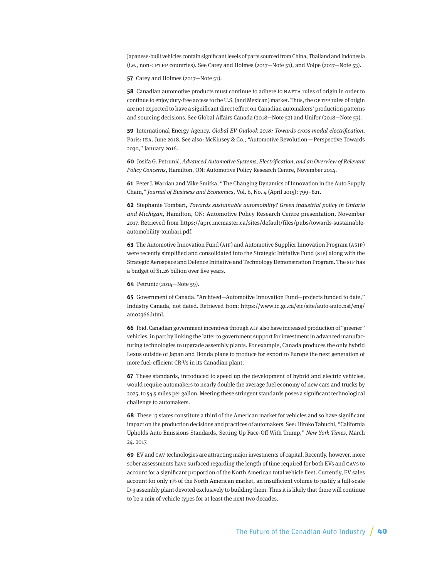<span id="page-39-0"></span>Japanese-built vehicles contain significant levels of parts sourced from China, Thailand and Indonesia (i.e., non-CPTPP countries). See Carey and Holmes (2017—Note 51), and Volpe (2017—Note 53).

**[57](#page-19-0)** Carey and Holmes (2017—Note 51).

**[58](#page-19-0)** Canadian automotive products must continue to adhere to NAFTA rules of origin in order to continue to enjoy duty-free access to the U.S. (and Mexican) market. Thus, the CPTPP rules of origin are not expected to have a significant direct effect on Canadian automakers' production patterns and sourcing decisions. See Global Affairs Canada (2018—Note 52) and Unifor (2018—Note 53).

**[59](#page-20-0)** International Energy Agency, Global EV Outlook 2018: Towards cross-modal electrification, Paris: IEA, June 2018. See also: McKinsey & Co., "Automotive Revolution—Perspective Towards 2030," January 2016.

**[60](#page-20-0)** Josifa G. Petrunić, Advanced Automotive Systems, Electrification, and an Overview of Relevant Policy Concerns, Hamilton, ON: Automotive Policy Research Centre, November 2014.

**[61](#page-21-0)** Peter J. Warrian and Mike Smitka, "The Changing Dynamics of Innovation in the Auto Supply Chain," Journal of Business and Economics, Vol. 6, No. 4 (April 2015): 799–821.

**[62](#page-21-0)** Stephanie Tombari, Towards sustainable automobility? Green industrial policy in Ontario and Michigan, Hamilton, ON: Automotive Policy Research Centre presentation, November 2017. Retrieved from [https://aprc.mcmaster.ca/sites/default/files/pubs/towards-sustainable](https://aprc.mcmaster.ca/sites/default/files/pubs/towards-sustainable-automobility-tombari.pdf)[automobility-tombari.pdf.](https://aprc.mcmaster.ca/sites/default/files/pubs/towards-sustainable-automobility-tombari.pdf)

**[63](#page-21-0)** The Automotive Innovation Fund (AIF) and Automotive Supplier Innovation Program (ASIP) were recently simplified and consolidated into the Strategic Initiative Fund (SIF) along with the Strategic Aerospace and Defence Initiative and Technology Demonstration Program. The SIF has a budget of \$1.26 billion over five years.

**[64](#page-21-0)** Petrunić (2014—Note 59).

**[65](#page-21-0)** Government of Canada. "Archived—Automotive Innovation Fund—projects funded to date," Industry Canada, not dated. Retrieved from: [https://www.ic.gc.ca/eic/site/auto-auto.nsf/eng/](https://www.ic.gc.ca/eic/site/auto-auto.nsf/eng/am02366.html) [am02366.html](https://www.ic.gc.ca/eic/site/auto-auto.nsf/eng/am02366.html).

**[66](#page-21-0)** Ibid. Canadian government incentives through AIF also have increased production of "greener" vehicles, in part by linking the latter to government support for investment in advanced manufacturing technologies to upgrade assembly plants. For example, Canada produces the only hybrid Lexus outside of Japan and Honda plans to produce for export to Europe the next generation of more fuel-efficient CR-Vs in its Canadian plant.

**[67](#page-22-0)** These standards, introduced to speed up the development of hybrid and electric vehicles, would require automakers to nearly double the average fuel economy of new cars and trucks by 2025, to 54.5 miles per gallon. Meeting these stringent standards poses a significant technological challenge to automakers.

**[68](#page-22-0)** These 13 states constitute a third of the American market for vehicles and so have significant impact on the production decisions and practices of automakers. See: Hiroko Tabuchi, "California Upholds Auto Emissions Standards, Setting Up Face-Off With Trump," New York Times, March 24, 2017.

**[69](#page-23-0)** EV and CAV technologies are attracting major investments of capital. Recently, however, more sober assessments have surfaced regarding the length of time required for both EVs and CAVs to account for a significant proportion of the North American total vehicle fleet. Currently, EV sales account for only 1% of the North American market, an insufficient volume to justify a full-scale D-3 assembly plant devoted exclusively to building them. Thus it is likely that there will continue to be a mix of vehicle types for at least the next two decades.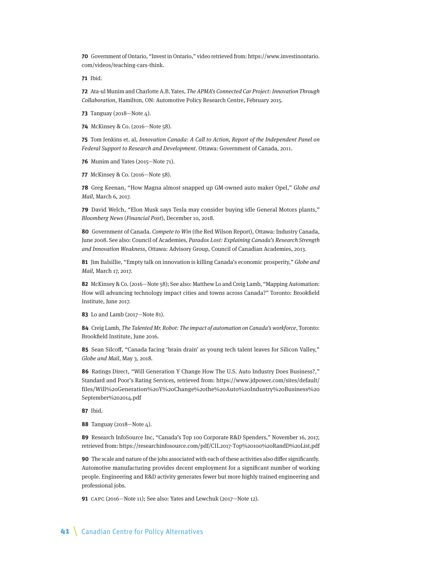<span id="page-40-0"></span>**[70](#page-23-0)** Government of Ontario, "Invest in Ontario," video retrieved from: [https://www.investinontario.](https://www.investinontario.com/videos/teaching-cars-think) [com/videos/teaching-cars-think](https://www.investinontario.com/videos/teaching-cars-think).

**[71](#page-23-0)** Ibid.

**[72](#page-23-0)** Ata-ul Munim and Charlotte A.B. Yates, The APMA's Connected Car Project: Innovation Through Collaboration, Hamilton, ON: Automotive Policy Research Centre, February 2015.

**[73](#page-24-0)** Tanguay (2018—Note 4).

**[74](#page-24-0)** McKinsey & Co. (2016—Note 58).

**[75](#page-24-0)** Tom Jenkins et. al, Innovation Canada: A Call to Action, Report of the Independent Panel on Federal Support to Research and Development. Ottawa: Government of Canada, 2011.

**[76](#page-24-0)** Munim and Yates (2015—Note 71).

**[77](#page-24-0)** McKinsey & Co. (2016—Note 58).

**[78](#page-24-0)** Greg Keenan, "How Magna almost snapped up GM-owned auto maker Opel," Globe and Mail, March 6, 2017.

**[79](#page-24-0)** David Welch, "Elon Musk says Tesla may consider buying idle General Motors plants," Bloomberg News (Financial Post), December 10, 2018.

**[80](#page-25-0)** Government of Canada. Compete to Win (the Red Wilson Report), Ottawa: Industry Canada, June 2008. See also: Council of Academies, Paradox Lost: Explaining Canada's Research Strength and Innovation Weakness, Ottawa: Advisory Group, Council of Canadian Academies, 2013.

**[81](#page-25-0)** Jim Balsillie, "Empty talk on innovation is killing Canada's economic prosperity," Globe and Mail, March 17, 2017.

**[82](#page-26-0)** McKinsey & Co. (2016—Note 58); See also: Matthew Lo and Creig Lamb, "Mapping Automation: How will advancing technology impact cities and towns across Canada?" Toronto: Brookfield Institute, June 2017.

**[83](#page-26-0)** Lo and Lamb (2017—Note 81).

**[84](#page-26-0)** Creig Lamb, The Talented Mr. Robot: The impact of automation on Canada's workforce, Toronto: Brookfield Institute, June 2016.

**[85](#page-27-0)** Sean Silcoff, "Canada facing 'brain drain' as young tech talent leaves for Silicon Valley," Globe and Mail, May 3, 2018.

**[86](#page-28-0)** Ratings Direct, "Will Generation Y Change How The U.S. Auto Industry Does Business?," Standard and Poor's Rating Services, retrieved from: https://www.jdpower.com/sites/default/ files/Will%20Generation%20Y%20Change%20the%20Auto%20Industry%20Business%20 September%202014.pdf

**[87](#page-28-0)** Ibid.

**[88](#page-28-0)** Tanguay (2018—Note 4).

**[89](#page-29-0)** Research InfoSource Inc, "Canada's Top 100 Corporate R&D Spenders," November 16, 2017, retrieved from: https://researchinfosource.com/pdf/CIL2017-Top%20100%20RandD%20List.pdf

**[90](#page-30-0)** The scale and nature of the jobs associated with each of these activities also differ significantly. Automotive manufacturing provides decent employment for a significant number of working people. Engineering and R&D activity generates fewer but more highly trained engineering and professional jobs.

**[91](#page-31-0)** CAPC (2016—Note 11); See also: Yates and Lewchuk (2017—Note 12).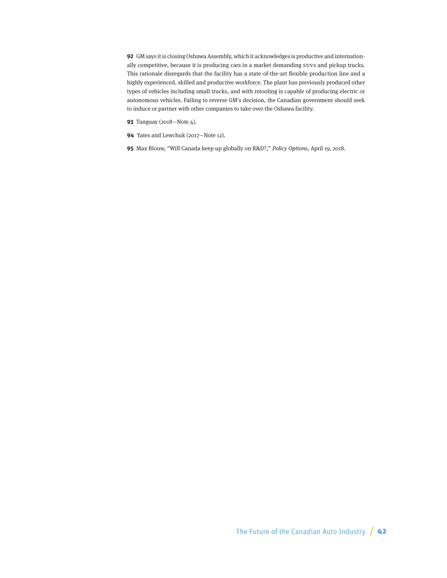<span id="page-41-0"></span>**[92](#page-31-0)** GM says it is closing Oshawa Assembly, which it acknowledges is productive and internationally competitive, because it is producing cars in a market demanding SUVs and pickup trucks. This rationale disregards that the facility has a state-of-the-art flexible production line and a highly experienced, skilled and productive workforce. The plant has previously produced other types of vehicles including small trucks, and with retooling is capable of producing electric or autonomous vehicles. Failing to reverse GM's decision, the Canadian government should seek to induce or partner with other companies to take over the Oshawa facility.

- **[93](#page-31-0)** Tanguay (2018—Note 4).
- **[94](#page-32-0)** Yates and Lewchuk (2017—Note 12).
- **[95](#page-33-0)** Max Blouw, "Will Canada keep up globally on R&D?," Policy Options, April 19, 2018.